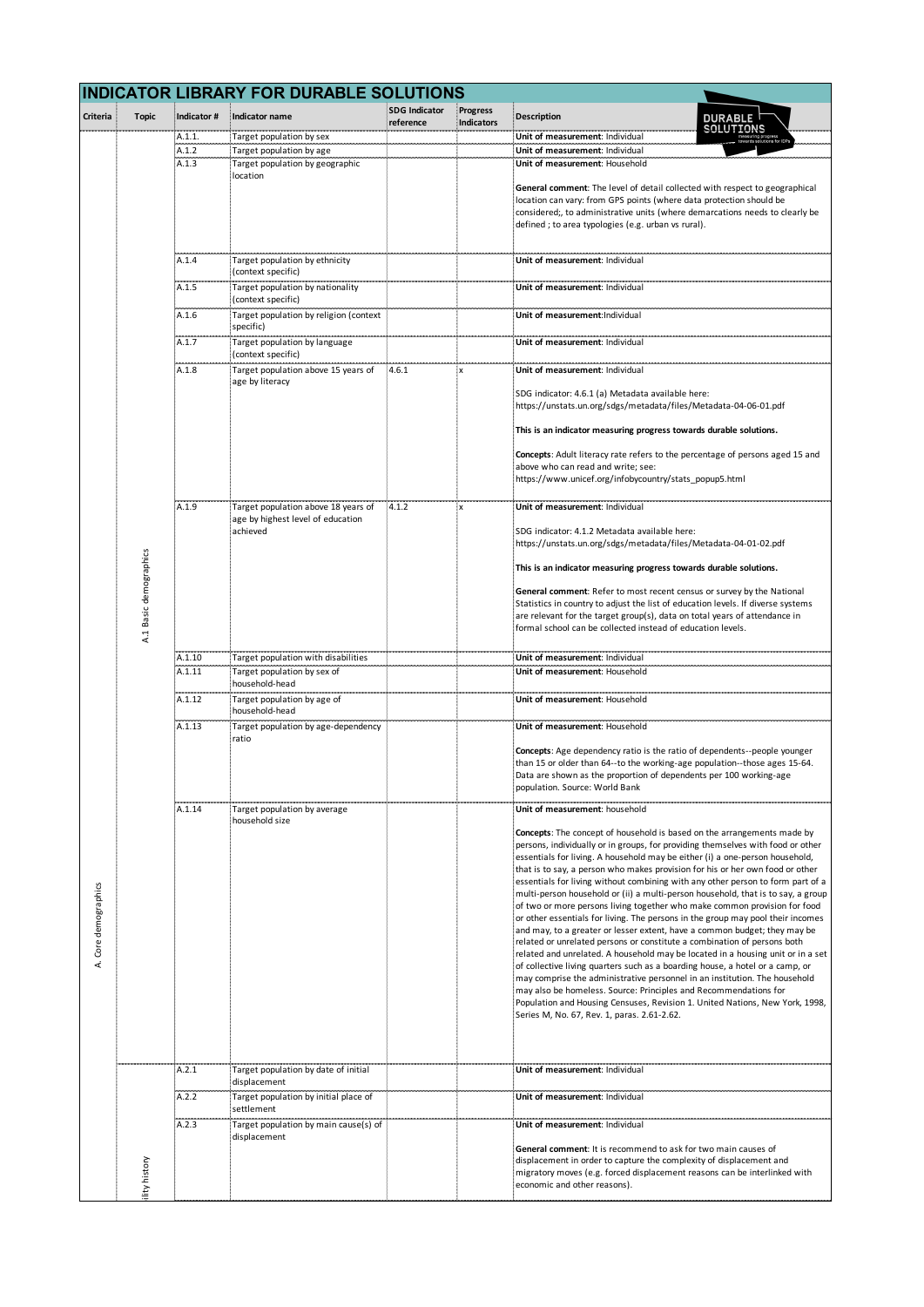|                      |                    |                | <b>INDICATOR LIBRARY FOR DURABLE SOLUTIONS</b>              |                                   |                               |                                                                                                                                                                  |
|----------------------|--------------------|----------------|-------------------------------------------------------------|-----------------------------------|-------------------------------|------------------------------------------------------------------------------------------------------------------------------------------------------------------|
| Criteria             | <b>Topic</b>       | Indicator #    | Indicator name                                              | <b>SDG Indicator</b><br>reference | <b>Progress</b><br>Indicators | <b>Description</b><br><b>DURABLE</b>                                                                                                                             |
|                      |                    | A.1.1.         | Target population by sex                                    |                                   |                               | SOLUTIONS<br>Unit of measurement: Individual                                                                                                                     |
|                      |                    | A.1.2<br>A.1.3 | Target population by age<br>Target population by geographic |                                   |                               | Unit of measurement: Individual<br>Unit of measurement: Household                                                                                                |
|                      |                    |                | location                                                    |                                   |                               |                                                                                                                                                                  |
|                      |                    |                |                                                             |                                   |                               | General comment: The level of detail collected with respect to geographical<br>location can vary: from GPS points (where data protection should be               |
|                      |                    |                |                                                             |                                   |                               | considered;, to administrative units (where demarcations needs to clearly be<br>defined; to area typologies (e.g. urban vs rural).                               |
|                      |                    |                |                                                             |                                   |                               |                                                                                                                                                                  |
|                      |                    | A.1.4          | Target population by ethnicity                              |                                   |                               | Unit of measurement: Individual                                                                                                                                  |
|                      |                    | A.1.5          | context specific)<br>Target population by nationality       |                                   |                               | Unit of measurement: Individual                                                                                                                                  |
|                      |                    |                | (context specific)                                          |                                   |                               |                                                                                                                                                                  |
|                      |                    | A.1.6          | Target population by religion (context<br>specific)         |                                   |                               | Unit of measurement: Individual                                                                                                                                  |
|                      |                    | A.1.7          | Target population by language                               |                                   |                               | Unit of measurement: Individual                                                                                                                                  |
|                      |                    | A.1.8          | (context specific)<br>Target population above 15 years of   | $-4.6.1$                          |                               | Unit of measurement: Individual                                                                                                                                  |
|                      |                    |                | age by literacy                                             |                                   |                               |                                                                                                                                                                  |
|                      |                    |                |                                                             |                                   |                               | SDG indicator: 4.6.1 (a) Metadata available here:<br>https://unstats.un.org/sdgs/metadata/files/Metadata-04-06-01.pdf                                            |
|                      |                    |                |                                                             |                                   |                               | This is an indicator measuring progress towards durable solutions.                                                                                               |
|                      |                    |                |                                                             |                                   |                               | Concepts: Adult literacy rate refers to the percentage of persons aged 15 and                                                                                    |
|                      |                    |                |                                                             |                                   |                               | above who can read and write; see:                                                                                                                               |
|                      |                    |                |                                                             |                                   |                               | https://www.unicef.org/infobycountry/stats_popup5.html                                                                                                           |
|                      |                    | A.1.9          | Target population above 18 years of                         | 4.1.2                             | .x                            | Unit of measurement: Individual                                                                                                                                  |
|                      |                    |                | age by highest level of education<br>achieved               |                                   |                               | SDG indicator: 4.1.2 Metadata available here:                                                                                                                    |
|                      |                    |                |                                                             |                                   |                               | https://unstats.un.org/sdgs/metadata/files/Metadata-04-01-02.pdf                                                                                                 |
|                      | Basic demographics |                |                                                             |                                   |                               | This is an indicator measuring progress towards durable solutions.                                                                                               |
|                      |                    |                |                                                             |                                   |                               | General comment: Refer to most recent census or survey by the National                                                                                           |
|                      |                    |                |                                                             |                                   |                               | Statistics in country to adjust the list of education levels. If diverse systems<br>are relevant for the target group(s), data on total years of attendance in   |
|                      | A.1                |                |                                                             |                                   |                               | formal school can be collected instead of education levels.                                                                                                      |
|                      |                    | A.1.10         | Target population with disabilities                         |                                   |                               | Unit of measurement: Individual                                                                                                                                  |
|                      |                    | A.1.11         | Target population by sex of<br>household-head               |                                   |                               | Unit of measurement: Household                                                                                                                                   |
|                      |                    | A.1.12         | Target population by age of                                 |                                   |                               | Unit of measurement: Household                                                                                                                                   |
|                      |                    | A.1.13         | household-head<br>Target population by age-dependency       |                                   |                               | Unit of measurement: Household                                                                                                                                   |
|                      |                    |                | ratio                                                       |                                   |                               |                                                                                                                                                                  |
|                      |                    |                |                                                             |                                   |                               | Concepts: Age dependency ratio is the ratio of dependents--people younger<br>than 15 or older than 64--to the working-age population--those ages 15-64.          |
|                      |                    |                |                                                             |                                   |                               | Data are shown as the proportion of dependents per 100 working-age<br>population. Source: World Bank                                                             |
|                      |                    | A.1.14         | Target population by average                                |                                   |                               | Unit of measurement: household                                                                                                                                   |
|                      |                    |                | household size                                              |                                   |                               |                                                                                                                                                                  |
|                      |                    |                |                                                             |                                   |                               | Concepts: The concept of household is based on the arrangements made by<br>persons, individually or in groups, for providing themselves with food or other       |
|                      |                    |                |                                                             |                                   |                               | essentials for living. A household may be either (i) a one-person household,<br>that is to say, a person who makes provision for his or her own food or other    |
|                      |                    |                |                                                             |                                   |                               | essentials for living without combining with any other person to form part of a                                                                                  |
|                      |                    |                |                                                             |                                   |                               | multi-person household or (ii) a multi-person household, that is to say, a group<br>of two or more persons living together who make common provision for food    |
|                      |                    |                |                                                             |                                   |                               | or other essentials for living. The persons in the group may pool their incomes<br>and may, to a greater or lesser extent, have a common budget; they may be     |
| A. Core demographics |                    |                |                                                             |                                   |                               | related or unrelated persons or constitute a combination of persons both                                                                                         |
|                      |                    |                |                                                             |                                   |                               | related and unrelated. A household may be located in a housing unit or in a set<br>of collective living quarters such as a boarding house, a hotel or a camp, or |
|                      |                    |                |                                                             |                                   |                               | may comprise the administrative personnel in an institution. The household<br>may also be homeless. Source: Principles and Recommendations for                   |
|                      |                    |                |                                                             |                                   |                               | Population and Housing Censuses, Revision 1. United Nations, New York, 1998,                                                                                     |
|                      |                    |                |                                                             |                                   |                               | Series M, No. 67, Rev. 1, paras. 2.61-2.62.                                                                                                                      |
|                      |                    |                |                                                             |                                   |                               |                                                                                                                                                                  |
|                      |                    | A.2.1          | Target population by date of initial                        |                                   |                               | Unit of measurement: Individual                                                                                                                                  |
|                      |                    | A.2.2          | displacement<br>Target population by initial place of       |                                   |                               | Unit of measurement: Individual                                                                                                                                  |
|                      |                    |                | settlement                                                  |                                   |                               |                                                                                                                                                                  |
|                      |                    | A.2.3          | Target population by main cause(s) of<br>displacement       |                                   |                               | Unit of measurement: Individual                                                                                                                                  |
|                      |                    |                |                                                             |                                   |                               | General comment: It is recommend to ask for two main causes of                                                                                                   |
|                      | ity history        |                |                                                             |                                   |                               | displacement in order to capture the complexity of displacement and<br>migratory moves (e.g. forced displacement reasons can be interlinked with                 |
|                      |                    |                |                                                             |                                   |                               | economic and other reasons).                                                                                                                                     |
|                      |                    |                |                                                             |                                   |                               |                                                                                                                                                                  |
|                      |                    |                |                                                             |                                   |                               |                                                                                                                                                                  |
|                      |                    |                |                                                             |                                   |                               |                                                                                                                                                                  |
|                      |                    |                |                                                             |                                   |                               |                                                                                                                                                                  |
|                      |                    |                |                                                             |                                   |                               |                                                                                                                                                                  |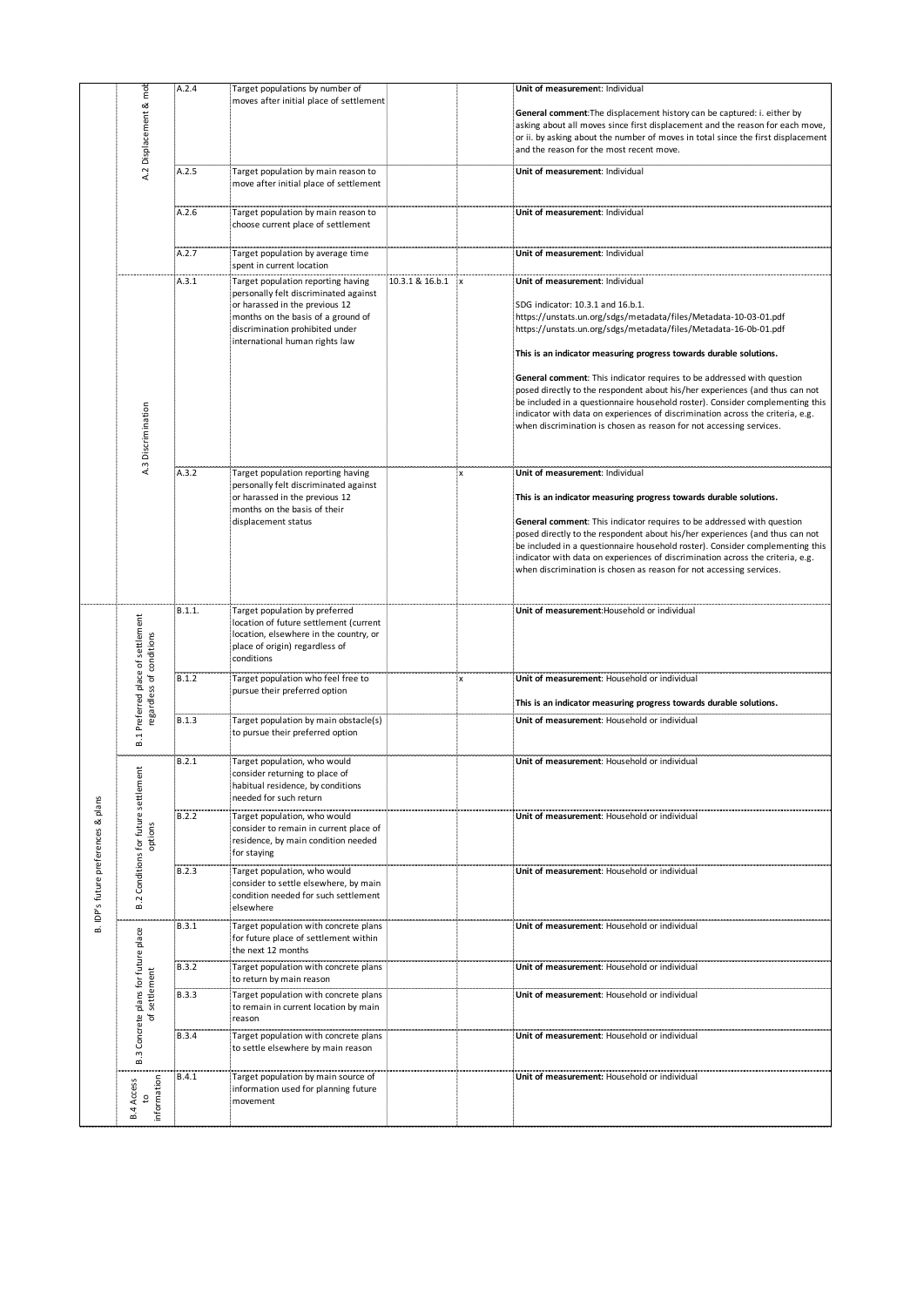|                                     |                                 |                                  | A.2.4        | Target populations by number of                                                                                                                                                                                          |                 |    | Unit of measurement: Individual                                                                                                                                                                                                                                                                                                                                                                                                                                                                                                                                                                                                                                                        |
|-------------------------------------|---------------------------------|----------------------------------|--------------|--------------------------------------------------------------------------------------------------------------------------------------------------------------------------------------------------------------------------|-----------------|----|----------------------------------------------------------------------------------------------------------------------------------------------------------------------------------------------------------------------------------------------------------------------------------------------------------------------------------------------------------------------------------------------------------------------------------------------------------------------------------------------------------------------------------------------------------------------------------------------------------------------------------------------------------------------------------------|
|                                     |                                 | mob<br>∞<br>Displacement         |              | moves after initial place of settlement                                                                                                                                                                                  |                 |    | General comment: The displacement history can be captured: i. either by<br>asking about all moves since first displacement and the reason for each move,<br>or ii. by asking about the number of moves in total since the first displacement<br>and the reason for the most recent move.                                                                                                                                                                                                                                                                                                                                                                                               |
|                                     |                                 | A.2                              | A.2.5        | Target population by main reason to<br>move after initial place of settlement                                                                                                                                            |                 |    | Unit of measurement: Individual                                                                                                                                                                                                                                                                                                                                                                                                                                                                                                                                                                                                                                                        |
|                                     |                                 |                                  | A.2.6        | Target population by main reason to                                                                                                                                                                                      |                 |    | Unit of measurement: Individual                                                                                                                                                                                                                                                                                                                                                                                                                                                                                                                                                                                                                                                        |
|                                     |                                 |                                  |              | choose current place of settlement                                                                                                                                                                                       |                 |    |                                                                                                                                                                                                                                                                                                                                                                                                                                                                                                                                                                                                                                                                                        |
|                                     |                                 |                                  | A.2.7        | Target population by average time<br>spent in current location                                                                                                                                                           |                 |    | Unit of measurement: Individual                                                                                                                                                                                                                                                                                                                                                                                                                                                                                                                                                                                                                                                        |
|                                     |                                 | Discrimination<br>A.3            | A.3.1        | Target population reporting having<br>personally felt discriminated against<br>or harassed in the previous 12<br>months on the basis of a ground of<br>discrimination prohibited under<br>international human rights law | 10.3.1 & 16.b.1 | .x | Unit of measurement: Individual<br>SDG indicator: 10.3.1 and 16.b.1.<br>https://unstats.un.org/sdgs/metadata/files/Metadata-10-03-01.pdf<br>https://unstats.un.org/sdgs/metadata/files/Metadata-16-0b-01.pdf<br>This is an indicator measuring progress towards durable solutions.<br>General comment: This indicator requires to be addressed with question<br>posed directly to the respondent about his/her experiences (and thus can not<br>be included in a questionnaire household roster). Consider complementing this<br>indicator with data on experiences of discrimination across the criteria, e.g.<br>when discrimination is chosen as reason for not accessing services. |
|                                     |                                 |                                  | A.3.2        | Target population reporting having<br>personally felt discriminated against<br>or harassed in the previous 12<br>months on the basis of their<br>displacement status                                                     |                 | ,x | Unit of measurement: Individual<br>This is an indicator measuring progress towards durable solutions.<br>General comment: This indicator requires to be addressed with question<br>posed directly to the respondent about his/her experiences (and thus can not<br>be included in a questionnaire household roster). Consider complementing this<br>indicator with data on experiences of discrimination across the criteria, e.g.<br>when discrimination is chosen as reason for not accessing services.                                                                                                                                                                              |
|                                     | Preferred place of settlement   |                                  | B.1.1.       | Target population by preferred<br>location of future settlement (current<br>location, elsewhere in the country, or<br>place of origin) regardless of<br>conditions                                                       |                 |    | Unit of measurement: Household or individual                                                                                                                                                                                                                                                                                                                                                                                                                                                                                                                                                                                                                                           |
|                                     |                                 | regardless of conditions         | B.1.2        | Target population who feel free to<br>pursue their preferred option                                                                                                                                                      |                 | X  | Unit of measurement: Household or individual<br>This is an indicator measuring progress towards durable solutions.                                                                                                                                                                                                                                                                                                                                                                                                                                                                                                                                                                     |
|                                     | B.1                             |                                  | B.1.3        | Target population by main obstacle(s)<br>to pursue their preferred option                                                                                                                                                |                 |    | Unit of measurement: Household or individual                                                                                                                                                                                                                                                                                                                                                                                                                                                                                                                                                                                                                                           |
| B. IDP's future preferences & plans |                                 |                                  | B.2.1        | Target population, who would<br>consider returning to place of<br>habitual residence, by conditions<br>needed for such return                                                                                            |                 |    | Unit of measurement: Household or individual                                                                                                                                                                                                                                                                                                                                                                                                                                                                                                                                                                                                                                           |
|                                     |                                 | Conditions for future settlement | B.2.2        | Target population, who would<br>consider to remain in current place of<br>residence, by main condition needed<br>for staying                                                                                             |                 |    | Unit of measurement: Household or individual                                                                                                                                                                                                                                                                                                                                                                                                                                                                                                                                                                                                                                           |
|                                     | B.2                             |                                  | B.2.3        | Target population, who would<br>consider to settle elsewhere, by main<br>condition needed for such settlement<br>elsewhere                                                                                               |                 |    | Unit of measurement: Household or individual                                                                                                                                                                                                                                                                                                                                                                                                                                                                                                                                                                                                                                           |
|                                     |                                 |                                  | B.3.1        | Target population with concrete plans<br>for future place of settlement within<br>the next 12 months                                                                                                                     |                 |    | Unit of measurement: Household or individual                                                                                                                                                                                                                                                                                                                                                                                                                                                                                                                                                                                                                                           |
|                                     |                                 |                                  | B.3.2        | Target population with concrete plans<br>to return by main reason                                                                                                                                                        |                 |    | Unit of measurement: Household or individual                                                                                                                                                                                                                                                                                                                                                                                                                                                                                                                                                                                                                                           |
|                                     | Concrete plans for future place | settlement<br>৳                  | <b>B.3.3</b> | Target population with concrete plans<br>to remain in current location by main<br>reason                                                                                                                                 |                 |    | Unit of measurement: Household or individual                                                                                                                                                                                                                                                                                                                                                                                                                                                                                                                                                                                                                                           |
|                                     | w<br>ക                          |                                  | <b>B.3.4</b> | Target population with concrete plans<br>to settle elsewhere by main reason                                                                                                                                              |                 |    | Unit of measurement: Household or individual                                                                                                                                                                                                                                                                                                                                                                                                                                                                                                                                                                                                                                           |
|                                     | <b>B.4 Access</b>               | information<br>S                 | <b>B.4.1</b> | Target population by main source of<br>information used for planning future<br>movement                                                                                                                                  |                 |    | Unit of measurement: Household or individual                                                                                                                                                                                                                                                                                                                                                                                                                                                                                                                                                                                                                                           |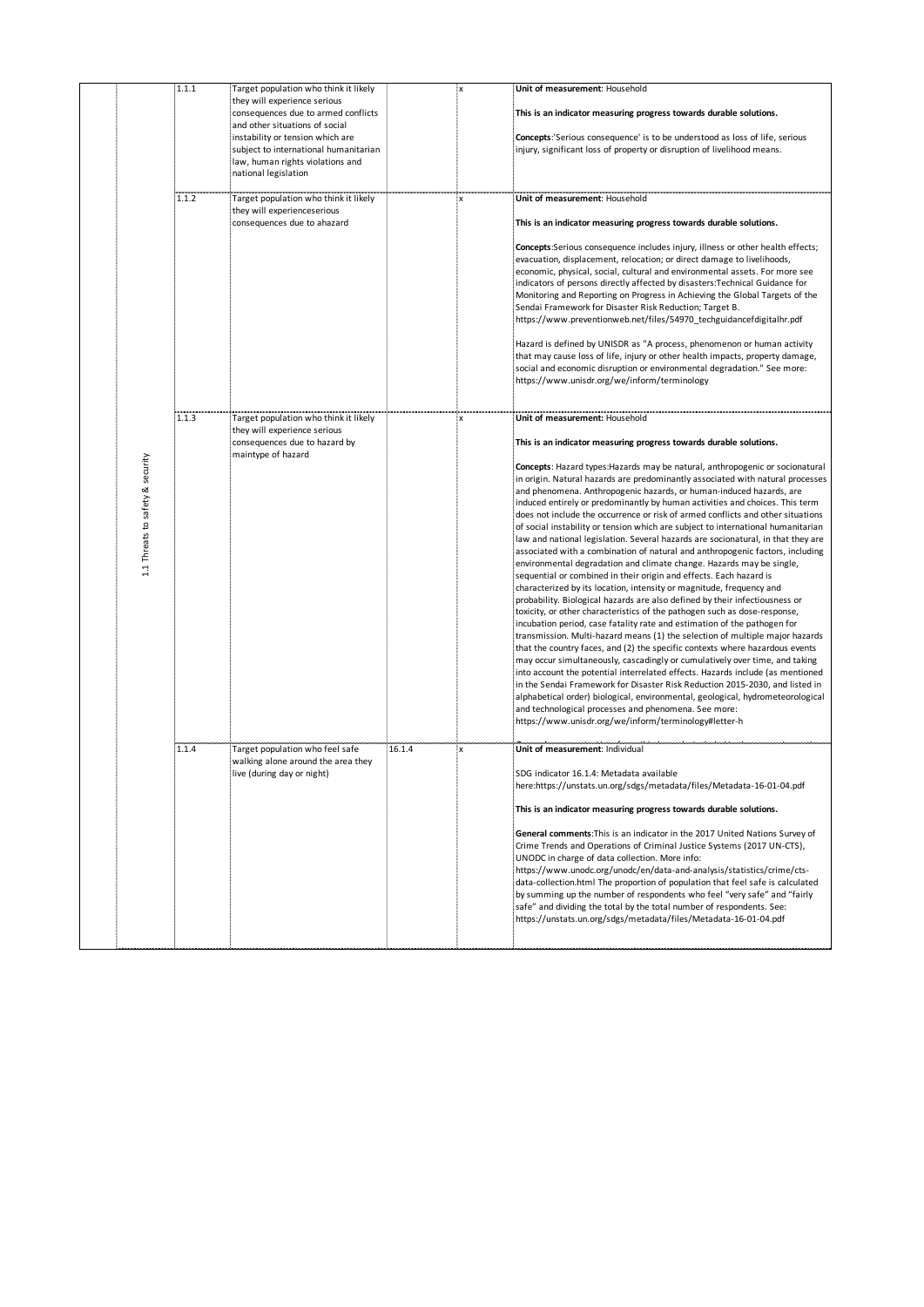|                                  | 1.1.1 | Target population who think it likely |        | 'X             | Unit of measurement: Household                                                     |
|----------------------------------|-------|---------------------------------------|--------|----------------|------------------------------------------------------------------------------------|
|                                  |       | they will experience serious          |        |                |                                                                                    |
|                                  |       | consequences due to armed conflicts   |        |                | This is an indicator measuring progress towards durable solutions.                 |
|                                  |       | and other situations of social        |        |                |                                                                                    |
|                                  |       | instability or tension which are      |        |                | <b>Concepts:</b> Serious consequence' is to be understood as loss of life, serious |
|                                  |       | subject to international humanitarian |        |                | injury, significant loss of property or disruption of livelihood means.            |
|                                  |       | law, human rights violations and      |        |                |                                                                                    |
|                                  |       |                                       |        |                |                                                                                    |
|                                  |       | national legislation                  |        |                |                                                                                    |
|                                  | 1.1.2 |                                       |        |                | Unit of measurement: Household                                                     |
|                                  |       | Target population who think it likely |        | $\pmb{\times}$ |                                                                                    |
|                                  |       | they will experienceserious           |        |                |                                                                                    |
|                                  |       | consequences due to ahazard           |        |                | This is an indicator measuring progress towards durable solutions.                 |
|                                  |       |                                       |        |                |                                                                                    |
|                                  |       |                                       |        |                | Concepts:Serious consequence includes injury, illness or other health effects;     |
|                                  |       |                                       |        |                | evacuation, displacement, relocation; or direct damage to livelihoods,             |
|                                  |       |                                       |        |                | economic, physical, social, cultural and environmental assets. For more see        |
|                                  |       |                                       |        |                | indicators of persons directly affected by disasters: Technical Guidance for       |
|                                  |       |                                       |        |                | Monitoring and Reporting on Progress in Achieving the Global Targets of the        |
|                                  |       |                                       |        |                | Sendai Framework for Disaster Risk Reduction; Target B.                            |
|                                  |       |                                       |        |                | https://www.preventionweb.net/files/54970_techguidancefdigitalhr.pdf               |
|                                  |       |                                       |        |                |                                                                                    |
|                                  |       |                                       |        |                | Hazard is defined by UNISDR as "A process, phenomenon or human activity            |
|                                  |       |                                       |        |                | that may cause loss of life, injury or other health impacts, property damage,      |
|                                  |       |                                       |        |                | social and economic disruption or environmental degradation." See more:            |
|                                  |       |                                       |        |                | https://www.unisdr.org/we/inform/terminology                                       |
|                                  |       |                                       |        |                |                                                                                    |
|                                  |       |                                       |        |                |                                                                                    |
|                                  | 1.1.3 | Target population who think it likely |        | x              | Unit of measurement: Household                                                     |
|                                  |       | they will experience serious          |        |                |                                                                                    |
|                                  |       | consequences due to hazard by         |        |                | This is an indicator measuring progress towards durable solutions.                 |
|                                  |       | maintype of hazard                    |        |                |                                                                                    |
| 1.1 Threats to safety & security |       |                                       |        |                | Concepts: Hazard types: Hazards may be natural, anthropogenic or socionatural      |
|                                  |       |                                       |        |                | in origin. Natural hazards are predominantly associated with natural processes     |
|                                  |       |                                       |        |                | and phenomena. Anthropogenic hazards, or human-induced hazards, are                |
|                                  |       |                                       |        |                | induced entirely or predominantly by human activities and choices. This term       |
|                                  |       |                                       |        |                | does not include the occurrence or risk of armed conflicts and other situations    |
|                                  |       |                                       |        |                | of social instability or tension which are subject to international humanitarian   |
|                                  |       |                                       |        |                | law and national legislation. Several hazards are socionatural, in that they are   |
|                                  |       |                                       |        |                |                                                                                    |
|                                  |       |                                       |        |                | associated with a combination of natural and anthropogenic factors, including      |
|                                  |       |                                       |        |                | environmental degradation and climate change. Hazards may be single,               |
|                                  |       |                                       |        |                | sequential or combined in their origin and effects. Each hazard is                 |
|                                  |       |                                       |        |                | characterized by its location, intensity or magnitude, frequency and               |
|                                  |       |                                       |        |                | probability. Biological hazards are also defined by their infectiousness or        |
|                                  |       |                                       |        |                | toxicity, or other characteristics of the pathogen such as dose-response,          |
|                                  |       |                                       |        |                | incubation period, case fatality rate and estimation of the pathogen for           |
|                                  |       |                                       |        |                | transmission. Multi-hazard means (1) the selection of multiple major hazards       |
|                                  |       |                                       |        |                | that the country faces, and (2) the specific contexts where hazardous events       |
|                                  |       |                                       |        |                | may occur simultaneously, cascadingly or cumulatively over time, and taking        |
|                                  |       |                                       |        |                | into account the potential interrelated effects. Hazards include (as mentioned     |
|                                  |       |                                       |        |                | in the Sendai Framework for Disaster Risk Reduction 2015-2030, and listed in       |
|                                  |       |                                       |        |                | alphabetical order) biological, environmental, geological, hydrometeorological     |
|                                  |       |                                       |        |                | and technological processes and phenomena. See more:                               |
|                                  |       |                                       |        |                | https://www.unisdr.org/we/inform/terminology#letter-h                              |
|                                  |       |                                       |        |                |                                                                                    |
|                                  | 1.1.4 |                                       | 16.1.4 |                |                                                                                    |
|                                  |       | Target population who feel safe       |        |                | Unit of measurement: Individual                                                    |
|                                  |       | walking alone around the area they    |        |                | SDG indicator 16.1.4: Metadata available                                           |
|                                  |       | live (during day or night)            |        |                | here:https://unstats.un.org/sdgs/metadata/files/Metadata-16-01-04.pdf              |
|                                  |       |                                       |        |                |                                                                                    |
|                                  |       |                                       |        |                |                                                                                    |
|                                  |       |                                       |        |                | This is an indicator measuring progress towards durable solutions.                 |
|                                  |       |                                       |        |                |                                                                                    |
|                                  |       |                                       |        |                | General comments: This is an indicator in the 2017 United Nations Survey of        |
|                                  |       |                                       |        |                | Crime Trends and Operations of Criminal Justice Systems (2017 UN-CTS),             |
|                                  |       |                                       |        |                | UNODC in charge of data collection. More info:                                     |
|                                  |       |                                       |        |                | https://www.unodc.org/unodc/en/data-and-analysis/statistics/crime/cts-             |
|                                  |       |                                       |        |                | data-collection.html The proportion of population that feel safe is calculated     |
|                                  |       |                                       |        |                | by summing up the number of respondents who feel "very safe" and "fairly           |
|                                  |       |                                       |        |                | safe" and dividing the total by the total number of respondents. See:              |
|                                  |       |                                       |        |                | https://unstats.un.org/sdgs/metadata/files/Metadata-16-01-04.pdf                   |
|                                  |       |                                       |        |                |                                                                                    |
|                                  |       |                                       |        |                |                                                                                    |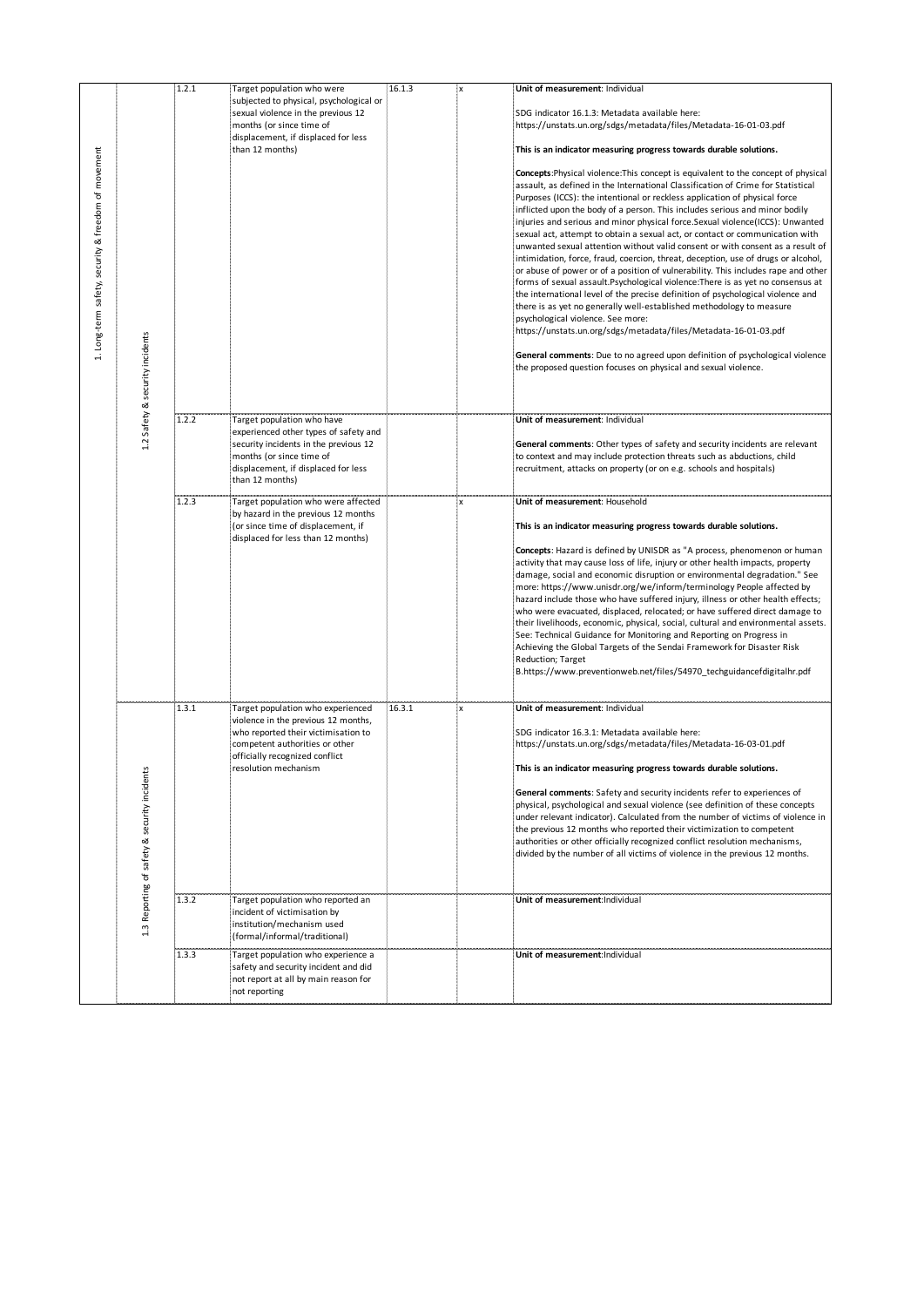|                                                     |                                            | 1.2.1 | Target population who were                                        | 16.1.3 | ¦X | Unit of measurement: Individual                                                                                                                             |
|-----------------------------------------------------|--------------------------------------------|-------|-------------------------------------------------------------------|--------|----|-------------------------------------------------------------------------------------------------------------------------------------------------------------|
|                                                     |                                            |       | subjected to physical, psychological or                           |        |    |                                                                                                                                                             |
|                                                     |                                            |       | sexual violence in the previous 12                                |        |    | SDG indicator 16.1.3: Metadata available here:                                                                                                              |
|                                                     |                                            |       | months (or since time of                                          |        |    | https://unstats.un.org/sdgs/metadata/files/Metadata-16-01-03.pdf                                                                                            |
|                                                     |                                            |       | displacement, if displaced for less                               |        |    |                                                                                                                                                             |
|                                                     |                                            |       | than 12 months)                                                   |        |    | This is an indicator measuring progress towards durable solutions.                                                                                          |
| 1. Long-term safety, security & freedom of movement |                                            |       |                                                                   |        |    | <b>Concepts:</b> Physical violence:This concept is equivalent to the concept of physical                                                                    |
|                                                     |                                            |       |                                                                   |        |    | assault, as defined in the International Classification of Crime for Statistical                                                                            |
|                                                     |                                            |       |                                                                   |        |    | Purposes (ICCS): the intentional or reckless application of physical force                                                                                  |
|                                                     |                                            |       |                                                                   |        |    | inflicted upon the body of a person. This includes serious and minor bodily                                                                                 |
|                                                     |                                            |       |                                                                   |        |    | injuries and serious and minor physical force.Sexual violence(ICCS): Unwanted                                                                               |
|                                                     |                                            |       |                                                                   |        |    | sexual act, attempt to obtain a sexual act, or contact or communication with                                                                                |
|                                                     |                                            |       |                                                                   |        |    | unwanted sexual attention without valid consent or with consent as a result of                                                                              |
|                                                     |                                            |       |                                                                   |        |    | intimidation, force, fraud, coercion, threat, deception, use of drugs or alcohol,                                                                           |
|                                                     |                                            |       |                                                                   |        |    | or abuse of power or of a position of vulnerability. This includes rape and other                                                                           |
|                                                     |                                            |       |                                                                   |        |    | forms of sexual assault. Psychological violence: There is as yet no consensus at                                                                            |
|                                                     |                                            |       |                                                                   |        |    | the international level of the precise definition of psychological violence and                                                                             |
|                                                     |                                            |       |                                                                   |        |    | there is as yet no generally well-established methodology to measure                                                                                        |
|                                                     |                                            |       |                                                                   |        |    | psychological violence. See more:                                                                                                                           |
|                                                     |                                            |       |                                                                   |        |    | https://unstats.un.org/sdgs/metadata/files/Metadata-16-01-03.pdf                                                                                            |
|                                                     |                                            |       |                                                                   |        |    | General comments: Due to no agreed upon definition of psychological violence                                                                                |
|                                                     |                                            |       |                                                                   |        |    | the proposed question focuses on physical and sexual violence.                                                                                              |
|                                                     |                                            |       |                                                                   |        |    |                                                                                                                                                             |
|                                                     |                                            |       |                                                                   |        |    |                                                                                                                                                             |
|                                                     |                                            |       |                                                                   |        |    |                                                                                                                                                             |
|                                                     | 1.2 Safety & security incidents            | 1.2.2 | Target population who have                                        |        |    | Unit of measurement: Individual                                                                                                                             |
|                                                     |                                            |       | experienced other types of safety and                             |        |    |                                                                                                                                                             |
|                                                     |                                            |       | security incidents in the previous 12                             |        |    | General comments: Other types of safety and security incidents are relevant                                                                                 |
|                                                     |                                            |       | months (or since time of                                          |        |    | to context and may include protection threats such as abductions, child                                                                                     |
|                                                     |                                            |       | displacement, if displaced for less                               |        |    | recruitment, attacks on property (or on e.g. schools and hospitals)                                                                                         |
|                                                     |                                            |       | than 12 months)                                                   |        |    |                                                                                                                                                             |
|                                                     |                                            | 1.2.3 | Target population who were affected                               |        | X  | Unit of measurement: Household                                                                                                                              |
|                                                     |                                            |       | by hazard in the previous 12 months                               |        |    |                                                                                                                                                             |
|                                                     |                                            |       | (or since time of displacement, if                                |        |    | This is an indicator measuring progress towards durable solutions.                                                                                          |
|                                                     |                                            |       | displaced for less than 12 months)                                |        |    |                                                                                                                                                             |
|                                                     |                                            |       |                                                                   |        |    | Concepts: Hazard is defined by UNISDR as "A process, phenomenon or human                                                                                    |
|                                                     |                                            |       |                                                                   |        |    | activity that may cause loss of life, injury or other health impacts, property<br>damage, social and economic disruption or environmental degradation." See |
|                                                     |                                            |       |                                                                   |        |    | more: https://www.unisdr.org/we/inform/terminology People affected by                                                                                       |
|                                                     |                                            |       |                                                                   |        |    | hazard include those who have suffered injury, illness or other health effects;                                                                             |
|                                                     |                                            |       |                                                                   |        |    | who were evacuated, displaced, relocated; or have suffered direct damage to                                                                                 |
|                                                     |                                            |       |                                                                   |        |    | their livelihoods, economic, physical, social, cultural and environmental assets.                                                                           |
|                                                     |                                            |       |                                                                   |        |    | See: Technical Guidance for Monitoring and Reporting on Progress in                                                                                         |
|                                                     |                                            |       |                                                                   |        |    | Achieving the Global Targets of the Sendai Framework for Disaster Risk                                                                                      |
|                                                     |                                            |       |                                                                   |        |    | Reduction; Target                                                                                                                                           |
|                                                     |                                            |       |                                                                   |        |    | B.https://www.preventionweb.net/files/54970_techguidancefdigitalhr.pdf                                                                                      |
|                                                     |                                            |       |                                                                   |        |    |                                                                                                                                                             |
|                                                     |                                            | 1.3.1 | Target population who experienced                                 | 16.3.1 | ۰x | Unit of measurement: Individual                                                                                                                             |
|                                                     |                                            |       | violence in the previous 12 months,                               |        |    |                                                                                                                                                             |
|                                                     |                                            |       | who reported their victimisation to                               |        |    | SDG indicator 16.3.1: Metadata available here:                                                                                                              |
|                                                     |                                            |       | competent authorities or other                                    |        |    | https://unstats.un.org/sdgs/metadata/files/Metadata-16-03-01.pdf                                                                                            |
|                                                     | ١Ľ                                         |       | officially recognized conflict<br>resolution mechanism            |        |    | This is an indicator measuring progress towards durable solutions.                                                                                          |
|                                                     |                                            |       |                                                                   |        |    | General comments: Safety and security incidents refer to experiences of                                                                                     |
|                                                     |                                            |       |                                                                   |        |    | physical, psychological and sexual violence (see definition of these concepts                                                                               |
|                                                     |                                            |       |                                                                   |        |    | under relevant indicator). Calculated from the number of victims of violence in                                                                             |
|                                                     |                                            |       |                                                                   |        |    | the previous 12 months who reported their victimization to competent                                                                                        |
|                                                     |                                            |       |                                                                   |        |    | authorities or other officially recognized conflict resolution mechanisms,                                                                                  |
|                                                     |                                            |       |                                                                   |        |    | divided by the number of all victims of violence in the previous 12 months.                                                                                 |
|                                                     |                                            |       |                                                                   |        |    |                                                                                                                                                             |
|                                                     |                                            |       |                                                                   |        |    |                                                                                                                                                             |
|                                                     | 1.3 Reporting of safety & security incider | 1.3.2 | Target population who reported an<br>incident of victimisation by |        |    | Unit of measurement: Individual                                                                                                                             |
|                                                     |                                            |       | institution/mechanism used                                        |        |    |                                                                                                                                                             |
|                                                     |                                            |       | (formal/informal/traditional)                                     |        |    |                                                                                                                                                             |
|                                                     |                                            | 1.3.3 | Target population who experience a                                |        |    | Unit of measurement: Individual                                                                                                                             |
|                                                     |                                            |       | safety and security incident and did                              |        |    |                                                                                                                                                             |
|                                                     |                                            |       | not report at all by main reason for                              |        |    |                                                                                                                                                             |
|                                                     |                                            |       |                                                                   |        |    |                                                                                                                                                             |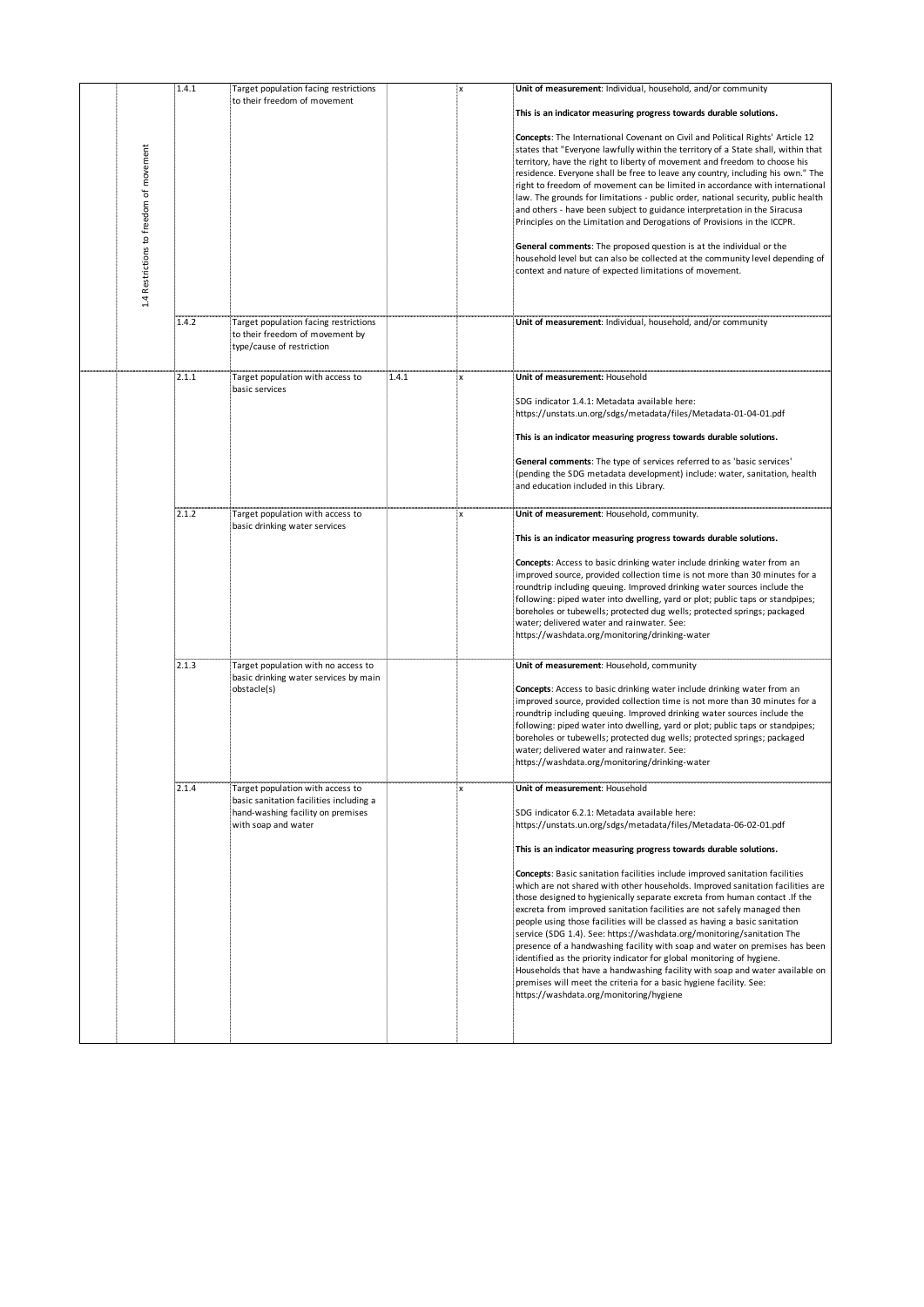| to their freedom of movement<br>This is an indicator measuring progress towards durable solutions.<br>Concepts: The International Covenant on Civil and Political Rights' Article 12<br>1.4 Restrictions to freedom of movement<br>states that "Everyone lawfully within the territory of a State shall, within that<br>territory, have the right to liberty of movement and freedom to choose his<br>residence. Everyone shall be free to leave any country, including his own." The<br>right to freedom of movement can be limited in accordance with international<br>law. The grounds for limitations - public order, national security, public health<br>and others - have been subject to guidance interpretation in the Siracusa<br>Principles on the Limitation and Derogations of Provisions in the ICCPR.<br>General comments: The proposed question is at the individual or the<br>household level but can also be collected at the community level depending of<br>context and nature of expected limitations of movement.<br>1.4.2<br>Target population facing restrictions<br>Unit of measurement: Individual, household, and/or community<br>to their freedom of movement by<br>type/cause of restriction<br>2.1.1<br>Target population with access to<br>1.4.1<br>Unit of measurement: Household<br><b>X</b><br>basic services<br>SDG indicator 1.4.1: Metadata available here:<br>https://unstats.un.org/sdgs/metadata/files/Metadata-01-04-01.pdf<br>This is an indicator measuring progress towards durable solutions.<br>General comments: The type of services referred to as 'basic services'<br>(pending the SDG metadata development) include: water, sanitation, health<br>and education included in this Library.<br>2.1.2<br>Target population with access to<br>Unit of measurement: Household, community.<br>۰x<br>basic drinking water services<br>This is an indicator measuring progress towards durable solutions.<br>Concepts: Access to basic drinking water include drinking water from an<br>improved source, provided collection time is not more than 30 minutes for a<br>roundtrip including queuing. Improved drinking water sources include the<br>following: piped water into dwelling, yard or plot; public taps or standpipes;<br>boreholes or tubewells; protected dug wells; protected springs; packaged<br>water; delivered water and rainwater. See:<br>https://washdata.org/monitoring/drinking-water<br>2.1.3<br>Target population with no access to<br>Unit of measurement: Household, community<br>basic drinking water services by main<br>Concepts: Access to basic drinking water include drinking water from an<br>obstacle(s)<br>improved source, provided collection time is not more than 30 minutes for a<br>roundtrip including queuing. Improved drinking water sources include the<br>following: piped water into dwelling, yard or plot; public taps or standpipes;<br>boreholes or tubewells; protected dug wells; protected springs; packaged<br>water; delivered water and rainwater. See:<br>https://washdata.org/monitoring/drinking-water<br>2.1.4<br>Target population with access to<br>'X<br>Unit of measurement: Household<br>basic sanitation facilities including a<br>hand-washing facility on premises<br>SDG indicator 6.2.1: Metadata available here:<br>with soap and water<br>https://unstats.un.org/sdgs/metadata/files/Metadata-06-02-01.pdf<br>This is an indicator measuring progress towards durable solutions.<br><b>Concepts:</b> Basic sanitation facilities include improved sanitation facilities<br>which are not shared with other households. Improved sanitation facilities are<br>those designed to hygienically separate excreta from human contact . If the<br>excreta from improved sanitation facilities are not safely managed then<br>people using those facilities will be classed as having a basic sanitation<br>service (SDG 1.4). See: https://washdata.org/monitoring/sanitation The<br>presence of a handwashing facility with soap and water on premises has been<br>identified as the priority indicator for global monitoring of hygiene.<br>Households that have a handwashing facility with soap and water available on<br>premises will meet the criteria for a basic hygiene facility. See:<br>https://washdata.org/monitoring/hygiene | Unit of measurement: Individual, household, and/or community |
|--------------------------------------------------------------------------------------------------------------------------------------------------------------------------------------------------------------------------------------------------------------------------------------------------------------------------------------------------------------------------------------------------------------------------------------------------------------------------------------------------------------------------------------------------------------------------------------------------------------------------------------------------------------------------------------------------------------------------------------------------------------------------------------------------------------------------------------------------------------------------------------------------------------------------------------------------------------------------------------------------------------------------------------------------------------------------------------------------------------------------------------------------------------------------------------------------------------------------------------------------------------------------------------------------------------------------------------------------------------------------------------------------------------------------------------------------------------------------------------------------------------------------------------------------------------------------------------------------------------------------------------------------------------------------------------------------------------------------------------------------------------------------------------------------------------------------------------------------------------------------------------------------------------------------------------------------------------------------------------------------------------------------------------------------------------------------------------------------------------------------------------------------------------------------------------------------------------------------------------------------------------------------------------------------------------------------------------------------------------------------------------------------------------------------------------------------------------------------------------------------------------------------------------------------------------------------------------------------------------------------------------------------------------------------------------------------------------------------------------------------------------------------------------------------------------------------------------------------------------------------------------------------------------------------------------------------------------------------------------------------------------------------------------------------------------------------------------------------------------------------------------------------------------------------------------------------------------------------------------------------------------------------------------------------------------------------------------------------------------------------------------------------------------------------------------------------------------------------------------------------------------------------------------------------------------------------------------------------------------------------------------------------------------------------------------------------------------------------------------------------------------------------------------------------------------------------------------------------------------------------------------------------------------------------------------------------------------------------------------------------------------------------------------------------------------------------------------------------------------------------------------------------------------------------------------------------------------------------------------------------------------------------------------------------------------------------------------------------------------|--------------------------------------------------------------|
|                                                                                                                                                                                                                                                                                                                                                                                                                                                                                                                                                                                                                                                                                                                                                                                                                                                                                                                                                                                                                                                                                                                                                                                                                                                                                                                                                                                                                                                                                                                                                                                                                                                                                                                                                                                                                                                                                                                                                                                                                                                                                                                                                                                                                                                                                                                                                                                                                                                                                                                                                                                                                                                                                                                                                                                                                                                                                                                                                                                                                                                                                                                                                                                                                                                                                                                                                                                                                                                                                                                                                                                                                                                                                                                                                                                                                                                                                                                                                                                                                                                                                                                                                                                                                                                                                                                                                              |                                                              |
|                                                                                                                                                                                                                                                                                                                                                                                                                                                                                                                                                                                                                                                                                                                                                                                                                                                                                                                                                                                                                                                                                                                                                                                                                                                                                                                                                                                                                                                                                                                                                                                                                                                                                                                                                                                                                                                                                                                                                                                                                                                                                                                                                                                                                                                                                                                                                                                                                                                                                                                                                                                                                                                                                                                                                                                                                                                                                                                                                                                                                                                                                                                                                                                                                                                                                                                                                                                                                                                                                                                                                                                                                                                                                                                                                                                                                                                                                                                                                                                                                                                                                                                                                                                                                                                                                                                                                              |                                                              |
|                                                                                                                                                                                                                                                                                                                                                                                                                                                                                                                                                                                                                                                                                                                                                                                                                                                                                                                                                                                                                                                                                                                                                                                                                                                                                                                                                                                                                                                                                                                                                                                                                                                                                                                                                                                                                                                                                                                                                                                                                                                                                                                                                                                                                                                                                                                                                                                                                                                                                                                                                                                                                                                                                                                                                                                                                                                                                                                                                                                                                                                                                                                                                                                                                                                                                                                                                                                                                                                                                                                                                                                                                                                                                                                                                                                                                                                                                                                                                                                                                                                                                                                                                                                                                                                                                                                                                              |                                                              |
|                                                                                                                                                                                                                                                                                                                                                                                                                                                                                                                                                                                                                                                                                                                                                                                                                                                                                                                                                                                                                                                                                                                                                                                                                                                                                                                                                                                                                                                                                                                                                                                                                                                                                                                                                                                                                                                                                                                                                                                                                                                                                                                                                                                                                                                                                                                                                                                                                                                                                                                                                                                                                                                                                                                                                                                                                                                                                                                                                                                                                                                                                                                                                                                                                                                                                                                                                                                                                                                                                                                                                                                                                                                                                                                                                                                                                                                                                                                                                                                                                                                                                                                                                                                                                                                                                                                                                              |                                                              |
|                                                                                                                                                                                                                                                                                                                                                                                                                                                                                                                                                                                                                                                                                                                                                                                                                                                                                                                                                                                                                                                                                                                                                                                                                                                                                                                                                                                                                                                                                                                                                                                                                                                                                                                                                                                                                                                                                                                                                                                                                                                                                                                                                                                                                                                                                                                                                                                                                                                                                                                                                                                                                                                                                                                                                                                                                                                                                                                                                                                                                                                                                                                                                                                                                                                                                                                                                                                                                                                                                                                                                                                                                                                                                                                                                                                                                                                                                                                                                                                                                                                                                                                                                                                                                                                                                                                                                              |                                                              |
|                                                                                                                                                                                                                                                                                                                                                                                                                                                                                                                                                                                                                                                                                                                                                                                                                                                                                                                                                                                                                                                                                                                                                                                                                                                                                                                                                                                                                                                                                                                                                                                                                                                                                                                                                                                                                                                                                                                                                                                                                                                                                                                                                                                                                                                                                                                                                                                                                                                                                                                                                                                                                                                                                                                                                                                                                                                                                                                                                                                                                                                                                                                                                                                                                                                                                                                                                                                                                                                                                                                                                                                                                                                                                                                                                                                                                                                                                                                                                                                                                                                                                                                                                                                                                                                                                                                                                              |                                                              |
|                                                                                                                                                                                                                                                                                                                                                                                                                                                                                                                                                                                                                                                                                                                                                                                                                                                                                                                                                                                                                                                                                                                                                                                                                                                                                                                                                                                                                                                                                                                                                                                                                                                                                                                                                                                                                                                                                                                                                                                                                                                                                                                                                                                                                                                                                                                                                                                                                                                                                                                                                                                                                                                                                                                                                                                                                                                                                                                                                                                                                                                                                                                                                                                                                                                                                                                                                                                                                                                                                                                                                                                                                                                                                                                                                                                                                                                                                                                                                                                                                                                                                                                                                                                                                                                                                                                                                              |                                                              |
|                                                                                                                                                                                                                                                                                                                                                                                                                                                                                                                                                                                                                                                                                                                                                                                                                                                                                                                                                                                                                                                                                                                                                                                                                                                                                                                                                                                                                                                                                                                                                                                                                                                                                                                                                                                                                                                                                                                                                                                                                                                                                                                                                                                                                                                                                                                                                                                                                                                                                                                                                                                                                                                                                                                                                                                                                                                                                                                                                                                                                                                                                                                                                                                                                                                                                                                                                                                                                                                                                                                                                                                                                                                                                                                                                                                                                                                                                                                                                                                                                                                                                                                                                                                                                                                                                                                                                              |                                                              |
|                                                                                                                                                                                                                                                                                                                                                                                                                                                                                                                                                                                                                                                                                                                                                                                                                                                                                                                                                                                                                                                                                                                                                                                                                                                                                                                                                                                                                                                                                                                                                                                                                                                                                                                                                                                                                                                                                                                                                                                                                                                                                                                                                                                                                                                                                                                                                                                                                                                                                                                                                                                                                                                                                                                                                                                                                                                                                                                                                                                                                                                                                                                                                                                                                                                                                                                                                                                                                                                                                                                                                                                                                                                                                                                                                                                                                                                                                                                                                                                                                                                                                                                                                                                                                                                                                                                                                              |                                                              |
|                                                                                                                                                                                                                                                                                                                                                                                                                                                                                                                                                                                                                                                                                                                                                                                                                                                                                                                                                                                                                                                                                                                                                                                                                                                                                                                                                                                                                                                                                                                                                                                                                                                                                                                                                                                                                                                                                                                                                                                                                                                                                                                                                                                                                                                                                                                                                                                                                                                                                                                                                                                                                                                                                                                                                                                                                                                                                                                                                                                                                                                                                                                                                                                                                                                                                                                                                                                                                                                                                                                                                                                                                                                                                                                                                                                                                                                                                                                                                                                                                                                                                                                                                                                                                                                                                                                                                              |                                                              |
|                                                                                                                                                                                                                                                                                                                                                                                                                                                                                                                                                                                                                                                                                                                                                                                                                                                                                                                                                                                                                                                                                                                                                                                                                                                                                                                                                                                                                                                                                                                                                                                                                                                                                                                                                                                                                                                                                                                                                                                                                                                                                                                                                                                                                                                                                                                                                                                                                                                                                                                                                                                                                                                                                                                                                                                                                                                                                                                                                                                                                                                                                                                                                                                                                                                                                                                                                                                                                                                                                                                                                                                                                                                                                                                                                                                                                                                                                                                                                                                                                                                                                                                                                                                                                                                                                                                                                              |                                                              |
|                                                                                                                                                                                                                                                                                                                                                                                                                                                                                                                                                                                                                                                                                                                                                                                                                                                                                                                                                                                                                                                                                                                                                                                                                                                                                                                                                                                                                                                                                                                                                                                                                                                                                                                                                                                                                                                                                                                                                                                                                                                                                                                                                                                                                                                                                                                                                                                                                                                                                                                                                                                                                                                                                                                                                                                                                                                                                                                                                                                                                                                                                                                                                                                                                                                                                                                                                                                                                                                                                                                                                                                                                                                                                                                                                                                                                                                                                                                                                                                                                                                                                                                                                                                                                                                                                                                                                              |                                                              |
|                                                                                                                                                                                                                                                                                                                                                                                                                                                                                                                                                                                                                                                                                                                                                                                                                                                                                                                                                                                                                                                                                                                                                                                                                                                                                                                                                                                                                                                                                                                                                                                                                                                                                                                                                                                                                                                                                                                                                                                                                                                                                                                                                                                                                                                                                                                                                                                                                                                                                                                                                                                                                                                                                                                                                                                                                                                                                                                                                                                                                                                                                                                                                                                                                                                                                                                                                                                                                                                                                                                                                                                                                                                                                                                                                                                                                                                                                                                                                                                                                                                                                                                                                                                                                                                                                                                                                              |                                                              |
|                                                                                                                                                                                                                                                                                                                                                                                                                                                                                                                                                                                                                                                                                                                                                                                                                                                                                                                                                                                                                                                                                                                                                                                                                                                                                                                                                                                                                                                                                                                                                                                                                                                                                                                                                                                                                                                                                                                                                                                                                                                                                                                                                                                                                                                                                                                                                                                                                                                                                                                                                                                                                                                                                                                                                                                                                                                                                                                                                                                                                                                                                                                                                                                                                                                                                                                                                                                                                                                                                                                                                                                                                                                                                                                                                                                                                                                                                                                                                                                                                                                                                                                                                                                                                                                                                                                                                              |                                                              |
|                                                                                                                                                                                                                                                                                                                                                                                                                                                                                                                                                                                                                                                                                                                                                                                                                                                                                                                                                                                                                                                                                                                                                                                                                                                                                                                                                                                                                                                                                                                                                                                                                                                                                                                                                                                                                                                                                                                                                                                                                                                                                                                                                                                                                                                                                                                                                                                                                                                                                                                                                                                                                                                                                                                                                                                                                                                                                                                                                                                                                                                                                                                                                                                                                                                                                                                                                                                                                                                                                                                                                                                                                                                                                                                                                                                                                                                                                                                                                                                                                                                                                                                                                                                                                                                                                                                                                              |                                                              |
|                                                                                                                                                                                                                                                                                                                                                                                                                                                                                                                                                                                                                                                                                                                                                                                                                                                                                                                                                                                                                                                                                                                                                                                                                                                                                                                                                                                                                                                                                                                                                                                                                                                                                                                                                                                                                                                                                                                                                                                                                                                                                                                                                                                                                                                                                                                                                                                                                                                                                                                                                                                                                                                                                                                                                                                                                                                                                                                                                                                                                                                                                                                                                                                                                                                                                                                                                                                                                                                                                                                                                                                                                                                                                                                                                                                                                                                                                                                                                                                                                                                                                                                                                                                                                                                                                                                                                              |                                                              |
|                                                                                                                                                                                                                                                                                                                                                                                                                                                                                                                                                                                                                                                                                                                                                                                                                                                                                                                                                                                                                                                                                                                                                                                                                                                                                                                                                                                                                                                                                                                                                                                                                                                                                                                                                                                                                                                                                                                                                                                                                                                                                                                                                                                                                                                                                                                                                                                                                                                                                                                                                                                                                                                                                                                                                                                                                                                                                                                                                                                                                                                                                                                                                                                                                                                                                                                                                                                                                                                                                                                                                                                                                                                                                                                                                                                                                                                                                                                                                                                                                                                                                                                                                                                                                                                                                                                                                              |                                                              |
|                                                                                                                                                                                                                                                                                                                                                                                                                                                                                                                                                                                                                                                                                                                                                                                                                                                                                                                                                                                                                                                                                                                                                                                                                                                                                                                                                                                                                                                                                                                                                                                                                                                                                                                                                                                                                                                                                                                                                                                                                                                                                                                                                                                                                                                                                                                                                                                                                                                                                                                                                                                                                                                                                                                                                                                                                                                                                                                                                                                                                                                                                                                                                                                                                                                                                                                                                                                                                                                                                                                                                                                                                                                                                                                                                                                                                                                                                                                                                                                                                                                                                                                                                                                                                                                                                                                                                              |                                                              |
|                                                                                                                                                                                                                                                                                                                                                                                                                                                                                                                                                                                                                                                                                                                                                                                                                                                                                                                                                                                                                                                                                                                                                                                                                                                                                                                                                                                                                                                                                                                                                                                                                                                                                                                                                                                                                                                                                                                                                                                                                                                                                                                                                                                                                                                                                                                                                                                                                                                                                                                                                                                                                                                                                                                                                                                                                                                                                                                                                                                                                                                                                                                                                                                                                                                                                                                                                                                                                                                                                                                                                                                                                                                                                                                                                                                                                                                                                                                                                                                                                                                                                                                                                                                                                                                                                                                                                              |                                                              |
|                                                                                                                                                                                                                                                                                                                                                                                                                                                                                                                                                                                                                                                                                                                                                                                                                                                                                                                                                                                                                                                                                                                                                                                                                                                                                                                                                                                                                                                                                                                                                                                                                                                                                                                                                                                                                                                                                                                                                                                                                                                                                                                                                                                                                                                                                                                                                                                                                                                                                                                                                                                                                                                                                                                                                                                                                                                                                                                                                                                                                                                                                                                                                                                                                                                                                                                                                                                                                                                                                                                                                                                                                                                                                                                                                                                                                                                                                                                                                                                                                                                                                                                                                                                                                                                                                                                                                              |                                                              |
|                                                                                                                                                                                                                                                                                                                                                                                                                                                                                                                                                                                                                                                                                                                                                                                                                                                                                                                                                                                                                                                                                                                                                                                                                                                                                                                                                                                                                                                                                                                                                                                                                                                                                                                                                                                                                                                                                                                                                                                                                                                                                                                                                                                                                                                                                                                                                                                                                                                                                                                                                                                                                                                                                                                                                                                                                                                                                                                                                                                                                                                                                                                                                                                                                                                                                                                                                                                                                                                                                                                                                                                                                                                                                                                                                                                                                                                                                                                                                                                                                                                                                                                                                                                                                                                                                                                                                              |                                                              |
|                                                                                                                                                                                                                                                                                                                                                                                                                                                                                                                                                                                                                                                                                                                                                                                                                                                                                                                                                                                                                                                                                                                                                                                                                                                                                                                                                                                                                                                                                                                                                                                                                                                                                                                                                                                                                                                                                                                                                                                                                                                                                                                                                                                                                                                                                                                                                                                                                                                                                                                                                                                                                                                                                                                                                                                                                                                                                                                                                                                                                                                                                                                                                                                                                                                                                                                                                                                                                                                                                                                                                                                                                                                                                                                                                                                                                                                                                                                                                                                                                                                                                                                                                                                                                                                                                                                                                              |                                                              |
|                                                                                                                                                                                                                                                                                                                                                                                                                                                                                                                                                                                                                                                                                                                                                                                                                                                                                                                                                                                                                                                                                                                                                                                                                                                                                                                                                                                                                                                                                                                                                                                                                                                                                                                                                                                                                                                                                                                                                                                                                                                                                                                                                                                                                                                                                                                                                                                                                                                                                                                                                                                                                                                                                                                                                                                                                                                                                                                                                                                                                                                                                                                                                                                                                                                                                                                                                                                                                                                                                                                                                                                                                                                                                                                                                                                                                                                                                                                                                                                                                                                                                                                                                                                                                                                                                                                                                              |                                                              |
|                                                                                                                                                                                                                                                                                                                                                                                                                                                                                                                                                                                                                                                                                                                                                                                                                                                                                                                                                                                                                                                                                                                                                                                                                                                                                                                                                                                                                                                                                                                                                                                                                                                                                                                                                                                                                                                                                                                                                                                                                                                                                                                                                                                                                                                                                                                                                                                                                                                                                                                                                                                                                                                                                                                                                                                                                                                                                                                                                                                                                                                                                                                                                                                                                                                                                                                                                                                                                                                                                                                                                                                                                                                                                                                                                                                                                                                                                                                                                                                                                                                                                                                                                                                                                                                                                                                                                              |                                                              |
|                                                                                                                                                                                                                                                                                                                                                                                                                                                                                                                                                                                                                                                                                                                                                                                                                                                                                                                                                                                                                                                                                                                                                                                                                                                                                                                                                                                                                                                                                                                                                                                                                                                                                                                                                                                                                                                                                                                                                                                                                                                                                                                                                                                                                                                                                                                                                                                                                                                                                                                                                                                                                                                                                                                                                                                                                                                                                                                                                                                                                                                                                                                                                                                                                                                                                                                                                                                                                                                                                                                                                                                                                                                                                                                                                                                                                                                                                                                                                                                                                                                                                                                                                                                                                                                                                                                                                              |                                                              |
|                                                                                                                                                                                                                                                                                                                                                                                                                                                                                                                                                                                                                                                                                                                                                                                                                                                                                                                                                                                                                                                                                                                                                                                                                                                                                                                                                                                                                                                                                                                                                                                                                                                                                                                                                                                                                                                                                                                                                                                                                                                                                                                                                                                                                                                                                                                                                                                                                                                                                                                                                                                                                                                                                                                                                                                                                                                                                                                                                                                                                                                                                                                                                                                                                                                                                                                                                                                                                                                                                                                                                                                                                                                                                                                                                                                                                                                                                                                                                                                                                                                                                                                                                                                                                                                                                                                                                              |                                                              |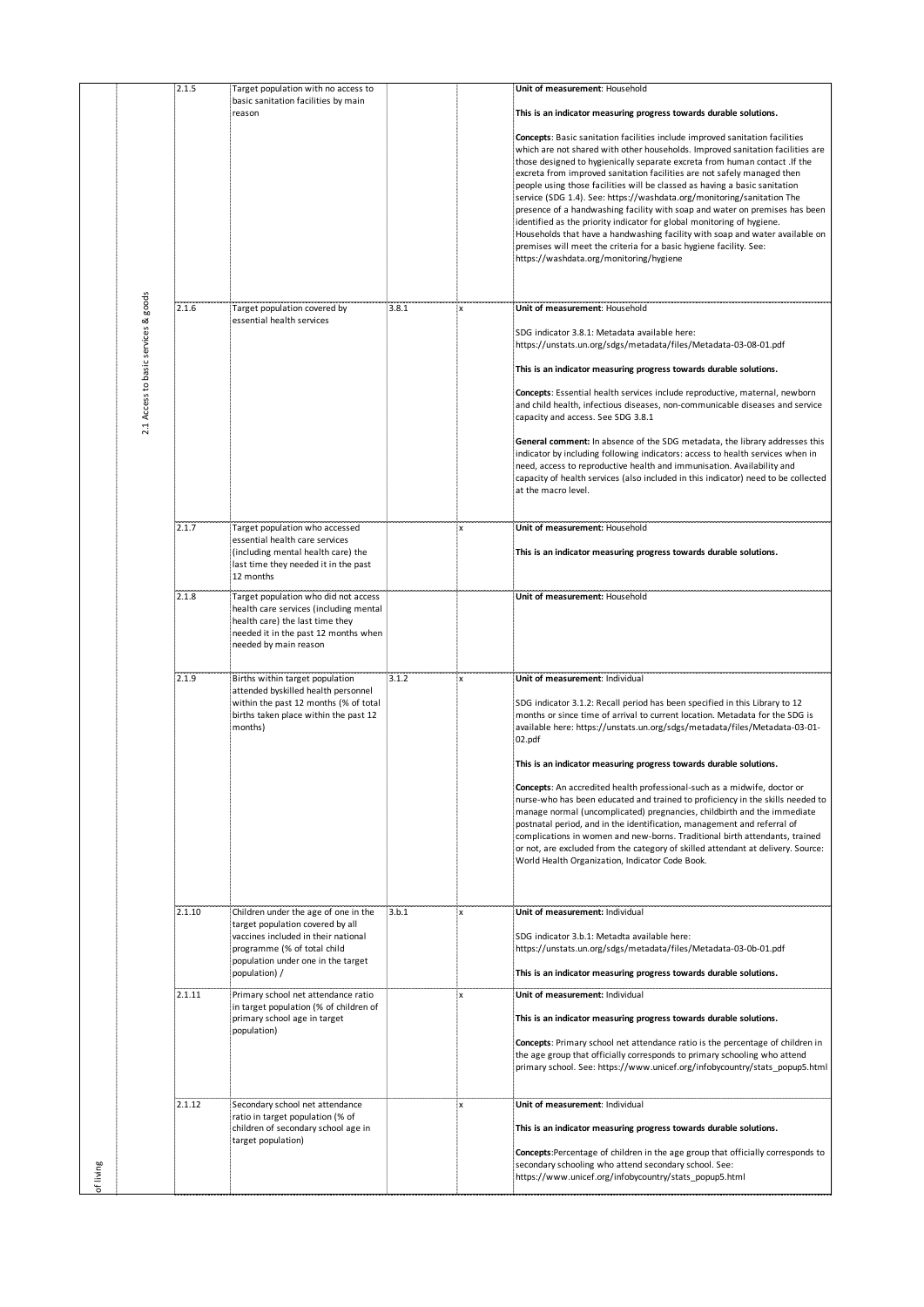|        |                                      | 2.1.5  | Target population with no access to                                                                                                                                                                   |          |    | Unit of measurement: Household                                                                                                                                                                                                                                                                                                                                                                                                                                                                                                                                                                                                                                                                                                                                                                                                                                                                         |
|--------|--------------------------------------|--------|-------------------------------------------------------------------------------------------------------------------------------------------------------------------------------------------------------|----------|----|--------------------------------------------------------------------------------------------------------------------------------------------------------------------------------------------------------------------------------------------------------------------------------------------------------------------------------------------------------------------------------------------------------------------------------------------------------------------------------------------------------------------------------------------------------------------------------------------------------------------------------------------------------------------------------------------------------------------------------------------------------------------------------------------------------------------------------------------------------------------------------------------------------|
|        |                                      |        | basic sanitation facilities by main<br>reason                                                                                                                                                         |          |    | This is an indicator measuring progress towards durable solutions.                                                                                                                                                                                                                                                                                                                                                                                                                                                                                                                                                                                                                                                                                                                                                                                                                                     |
|        |                                      |        |                                                                                                                                                                                                       |          |    | <b>Concepts:</b> Basic sanitation facilities include improved sanitation facilities<br>which are not shared with other households. Improved sanitation facilities are<br>those designed to hygienically separate excreta from human contact . If the<br>excreta from improved sanitation facilities are not safely managed then<br>people using those facilities will be classed as having a basic sanitation<br>service (SDG 1.4). See: https://washdata.org/monitoring/sanitation The<br>presence of a handwashing facility with soap and water on premises has been<br>identified as the priority indicator for global monitoring of hygiene.<br>Households that have a handwashing facility with soap and water available on<br>premises will meet the criteria for a basic hygiene facility. See:<br>https://washdata.org/monitoring/hygiene                                                      |
|        |                                      | 2.1.6  | Target population covered by                                                                                                                                                                          | $-3.8.1$ | ×Х | Unit of measurement: Household                                                                                                                                                                                                                                                                                                                                                                                                                                                                                                                                                                                                                                                                                                                                                                                                                                                                         |
|        | 2.1 Access to basic services & goods |        | essential health services                                                                                                                                                                             |          |    | SDG indicator 3.8.1: Metadata available here:<br>https://unstats.un.org/sdgs/metadata/files/Metadata-03-08-01.pdf<br>This is an indicator measuring progress towards durable solutions.<br>Concepts: Essential health services include reproductive, maternal, newborn<br>and child health, infectious diseases, non-communicable diseases and service<br>capacity and access. See SDG 3.8.1<br>General comment: In absence of the SDG metadata, the library addresses this<br>indicator by including following indicators: access to health services when in<br>need, access to reproductive health and immunisation. Availability and<br>capacity of health services (also included in this indicator) need to be collected<br>at the macro level.                                                                                                                                                   |
|        |                                      | 2.1.7  | Target population who accessed<br>essential health care services                                                                                                                                      |          | ۰x | Unit of measurement: Household                                                                                                                                                                                                                                                                                                                                                                                                                                                                                                                                                                                                                                                                                                                                                                                                                                                                         |
|        |                                      |        | (including mental health care) the<br>last time they needed it in the past<br>12 months                                                                                                               |          |    | This is an indicator measuring progress towards durable solutions.                                                                                                                                                                                                                                                                                                                                                                                                                                                                                                                                                                                                                                                                                                                                                                                                                                     |
|        |                                      | 2.1.8  | Target population who did not access<br>health care services (including mental<br>health care) the last time they<br>needed it in the past 12 months when<br>needed by main reason                    |          |    | Unit of measurement: Household                                                                                                                                                                                                                                                                                                                                                                                                                                                                                                                                                                                                                                                                                                                                                                                                                                                                         |
|        |                                      | 2.1.9  | Births within target population<br>attended byskilled health personnel<br>within the past 12 months (% of total<br>births taken place within the past 12<br>months)                                   | 3.1.2    | ۰X | Unit of measurement: Individual<br>SDG indicator 3.1.2: Recall period has been specified in this Library to 12<br>months or since time of arrival to current location. Metadata for the SDG is<br>available here: https://unstats.un.org/sdgs/metadata/files/Metadata-03-01-<br>02.pdf<br>This is an indicator measuring progress towards durable solutions.<br>Concepts: An accredited health professional-such as a midwife, doctor or<br>nurse-who has been educated and trained to proficiency in the skills needed to<br>manage normal (uncomplicated) pregnancies, childbirth and the immediate<br>postnatal period, and in the identification, management and referral of<br>complications in women and new-borns. Traditional birth attendants, trained<br>or not, are excluded from the category of skilled attendant at delivery. Source:<br>World Health Organization, Indicator Code Book. |
|        |                                      | 2.1.10 | Children under the age of one in the<br>target population covered by all<br>vaccines included in their national<br>programme (% of total child<br>population under one in the target<br>population) / | 3.b.1    | ٠x | Unit of measurement: Individual<br>SDG indicator 3.b.1: Metadta available here:<br>https://unstats.un.org/sdgs/metadata/files/Metadata-03-0b-01.pdf<br>This is an indicator measuring progress towards durable solutions.                                                                                                                                                                                                                                                                                                                                                                                                                                                                                                                                                                                                                                                                              |
|        |                                      | 2.1.11 | Primary school net attendance ratio<br>in target population (% of children of<br>primary school age in target<br>population)                                                                          |          | x  | Unit of measurement: Individual<br>This is an indicator measuring progress towards durable solutions.<br><b>Concepts:</b> Primary school net attendance ratio is the percentage of children in<br>the age group that officially corresponds to primary schooling who attend<br>primary school. See: https://www.unicef.org/infobycountry/stats_popup5.html                                                                                                                                                                                                                                                                                                                                                                                                                                                                                                                                             |
| living |                                      | 2.1.12 | Secondary school net attendance<br>ratio in target population (% of<br>children of secondary school age in<br>target population)                                                                      |          | ۰x | Unit of measurement: Individual<br>This is an indicator measuring progress towards durable solutions.<br>Concepts:Percentage of children in the age group that officially corresponds to<br>secondary schooling who attend secondary school. See:<br>https://www.unicef.org/infobycountry/stats_popup5.html                                                                                                                                                                                                                                                                                                                                                                                                                                                                                                                                                                                            |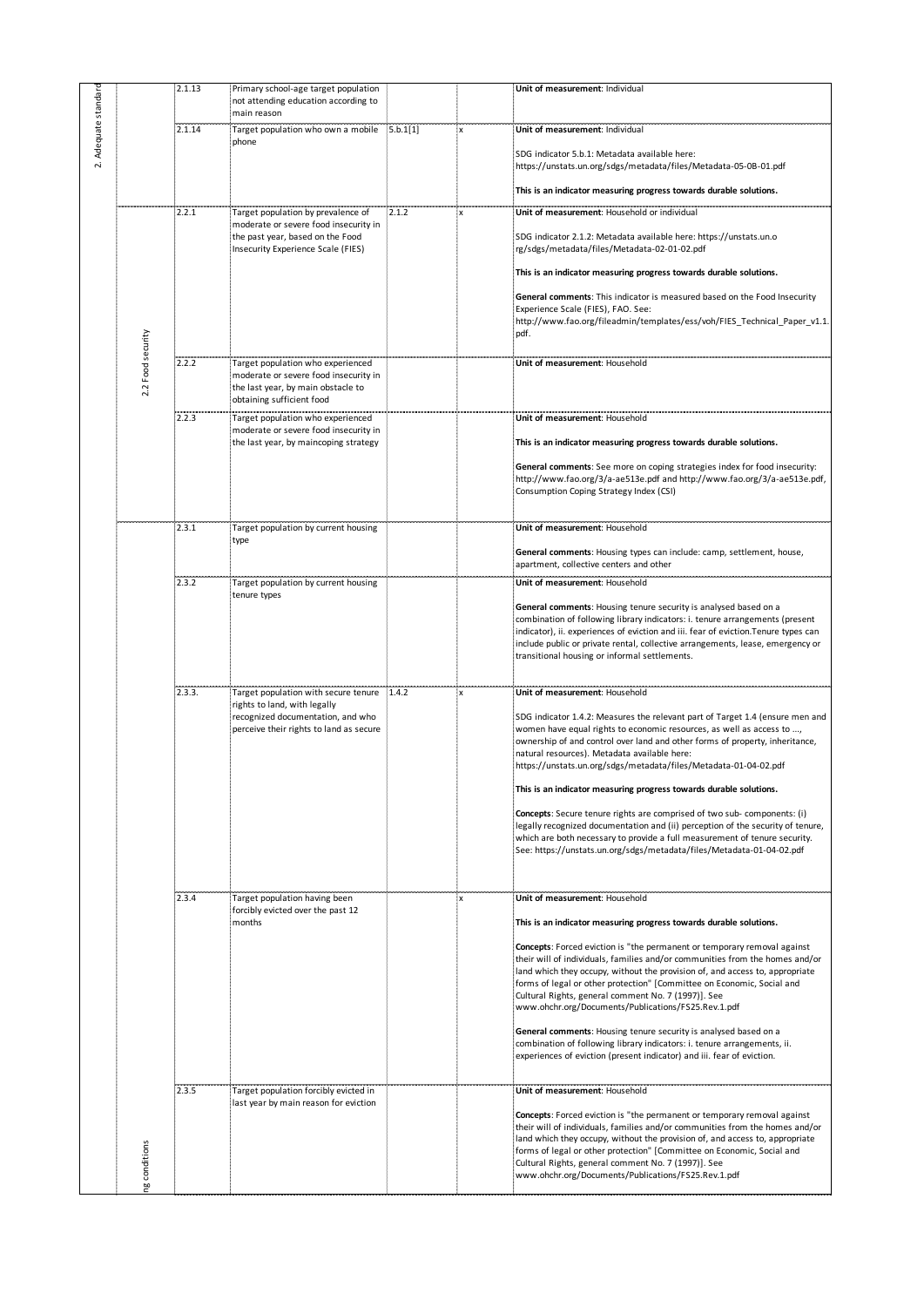|                   | 2.1.13 | Primary school-age target population<br>not attending education according to                                                                  |       |                           | Unit of measurement: Individual                                                                                                                                                                                                                                                                                                                                                                                                  |
|-------------------|--------|-----------------------------------------------------------------------------------------------------------------------------------------------|-------|---------------------------|----------------------------------------------------------------------------------------------------------------------------------------------------------------------------------------------------------------------------------------------------------------------------------------------------------------------------------------------------------------------------------------------------------------------------------|
|                   | 2.1.14 | main reason<br>Target population who own a mobile 5.b.1[1]                                                                                    |       | $\boldsymbol{\mathsf{x}}$ | Unit of measurement: Individual                                                                                                                                                                                                                                                                                                                                                                                                  |
|                   |        | phone                                                                                                                                         |       |                           | SDG indicator 5.b.1: Metadata available here:<br>https://unstats.un.org/sdgs/metadata/files/Metadata-05-0B-01.pdf                                                                                                                                                                                                                                                                                                                |
|                   |        |                                                                                                                                               |       |                           | This is an indicator measuring progress towards durable solutions.                                                                                                                                                                                                                                                                                                                                                               |
|                   | 2.2.1  | Target population by prevalence of<br>moderate or severe food insecurity in                                                                   | 2.1.2 | x                         | Unit of measurement: Household or individual                                                                                                                                                                                                                                                                                                                                                                                     |
|                   |        | the past year, based on the Food<br>Insecurity Experience Scale (FIES)                                                                        |       |                           | SDG indicator 2.1.2: Metadata available here: https://unstats.un.o<br>rg/sdgs/metadata/files/Metadata-02-01-02.pdf                                                                                                                                                                                                                                                                                                               |
|                   |        |                                                                                                                                               |       |                           | This is an indicator measuring progress towards durable solutions.                                                                                                                                                                                                                                                                                                                                                               |
|                   |        |                                                                                                                                               |       |                           | General comments: This indicator is measured based on the Food Insecurity<br>Experience Scale (FIES), FAO. See:<br>http://www.fao.org/fileadmin/templates/ess/voh/FIES_Technical_Paper_v1.1.<br>pdf.                                                                                                                                                                                                                             |
| 2.2 Food security | 2.2.2  | Target population who experienced<br>moderate or severe food insecurity in<br>the last year, by main obstacle to<br>obtaining sufficient food |       |                           | Unit of measurement: Household                                                                                                                                                                                                                                                                                                                                                                                                   |
|                   | 2.2.3  | Target population who experienced<br>moderate or severe food insecurity in                                                                    |       |                           | Unit of measurement: Household                                                                                                                                                                                                                                                                                                                                                                                                   |
|                   |        | the last year, by maincoping strategy                                                                                                         |       |                           | This is an indicator measuring progress towards durable solutions.                                                                                                                                                                                                                                                                                                                                                               |
|                   |        |                                                                                                                                               |       |                           | General comments: See more on coping strategies index for food insecurity:<br>http://www.fao.org/3/a-ae513e.pdf and http://www.fao.org/3/a-ae513e.pdf,<br>Consumption Coping Strategy Index (CSI)                                                                                                                                                                                                                                |
|                   | 2.3.1  | Target population by current housing                                                                                                          |       |                           | Unit of measurement: Household                                                                                                                                                                                                                                                                                                                                                                                                   |
|                   |        | type                                                                                                                                          |       |                           | General comments: Housing types can include: camp, settlement, house,<br>apartment, collective centers and other                                                                                                                                                                                                                                                                                                                 |
|                   | 2.3.2  | Target population by current housing<br>tenure types                                                                                          |       |                           | Unit of measurement: Household                                                                                                                                                                                                                                                                                                                                                                                                   |
|                   |        |                                                                                                                                               |       |                           | General comments: Housing tenure security is analysed based on a<br>combination of following library indicators: i. tenure arrangements (present<br>indicator), ii. experiences of eviction and iii. fear of eviction. Tenure types can<br>include public or private rental, collective arrangements, lease, emergency or<br>transitional housing or informal settlements.                                                       |
|                   | 2.3.3. | Target population with secure tenure 1.4.2                                                                                                    |       |                           | Unit of measurement: Household                                                                                                                                                                                                                                                                                                                                                                                                   |
|                   |        | rights to land, with legally<br>recognized documentation, and who<br>perceive their rights to land as secure                                  |       |                           | SDG indicator 1.4.2: Measures the relevant part of Target 1.4 (ensure men and<br>women have equal rights to economic resources, as well as access to ,<br>ownership of and control over land and other forms of property, inheritance,<br>natural resources). Metadata available here:<br>https://unstats.un.org/sdgs/metadata/files/Metadata-01-04-02.pdf                                                                       |
|                   |        |                                                                                                                                               |       |                           | This is an indicator measuring progress towards durable solutions.                                                                                                                                                                                                                                                                                                                                                               |
|                   |        |                                                                                                                                               |       |                           | <b>Concepts:</b> Secure tenure rights are comprised of two sub- components: (i)<br>legally recognized documentation and (ii) perception of the security of tenure,<br>which are both necessary to provide a full measurement of tenure security.<br>See: https://unstats.un.org/sdgs/metadata/files/Metadata-01-04-02.pdf                                                                                                        |
|                   | 2.3.4  | Target population having been                                                                                                                 |       | x                         | Unit of measurement: Household                                                                                                                                                                                                                                                                                                                                                                                                   |
|                   |        | forcibly evicted over the past 12<br>months                                                                                                   |       |                           | This is an indicator measuring progress towards durable solutions.                                                                                                                                                                                                                                                                                                                                                               |
|                   |        |                                                                                                                                               |       |                           | Concepts: Forced eviction is "the permanent or temporary removal against<br>their will of individuals, families and/or communities from the homes and/or<br>land which they occupy, without the provision of, and access to, appropriate<br>forms of legal or other protection" [Committee on Economic, Social and<br>Cultural Rights, general comment No. 7 (1997)]. See<br>www.ohchr.org/Documents/Publications/FS25.Rev.1.pdf |
|                   |        |                                                                                                                                               |       |                           | General comments: Housing tenure security is analysed based on a<br>combination of following library indicators: i. tenure arrangements, ii.<br>experiences of eviction (present indicator) and iii. fear of eviction.                                                                                                                                                                                                           |
|                   | 2.3.5  | Target population forcibly evicted in<br>last year by main reason for eviction                                                                |       |                           | Unit of measurement: Household                                                                                                                                                                                                                                                                                                                                                                                                   |
| conditions        |        |                                                                                                                                               |       |                           | Concepts: Forced eviction is "the permanent or temporary removal against<br>their will of individuals, families and/or communities from the homes and/or<br>land which they occupy, without the provision of, and access to, appropriate<br>forms of legal or other protection" [Committee on Economic, Social and<br>Cultural Rights, general comment No. 7 (1997)]. See<br>www.ohchr.org/Documents/Publications/FS25.Rev.1.pdf |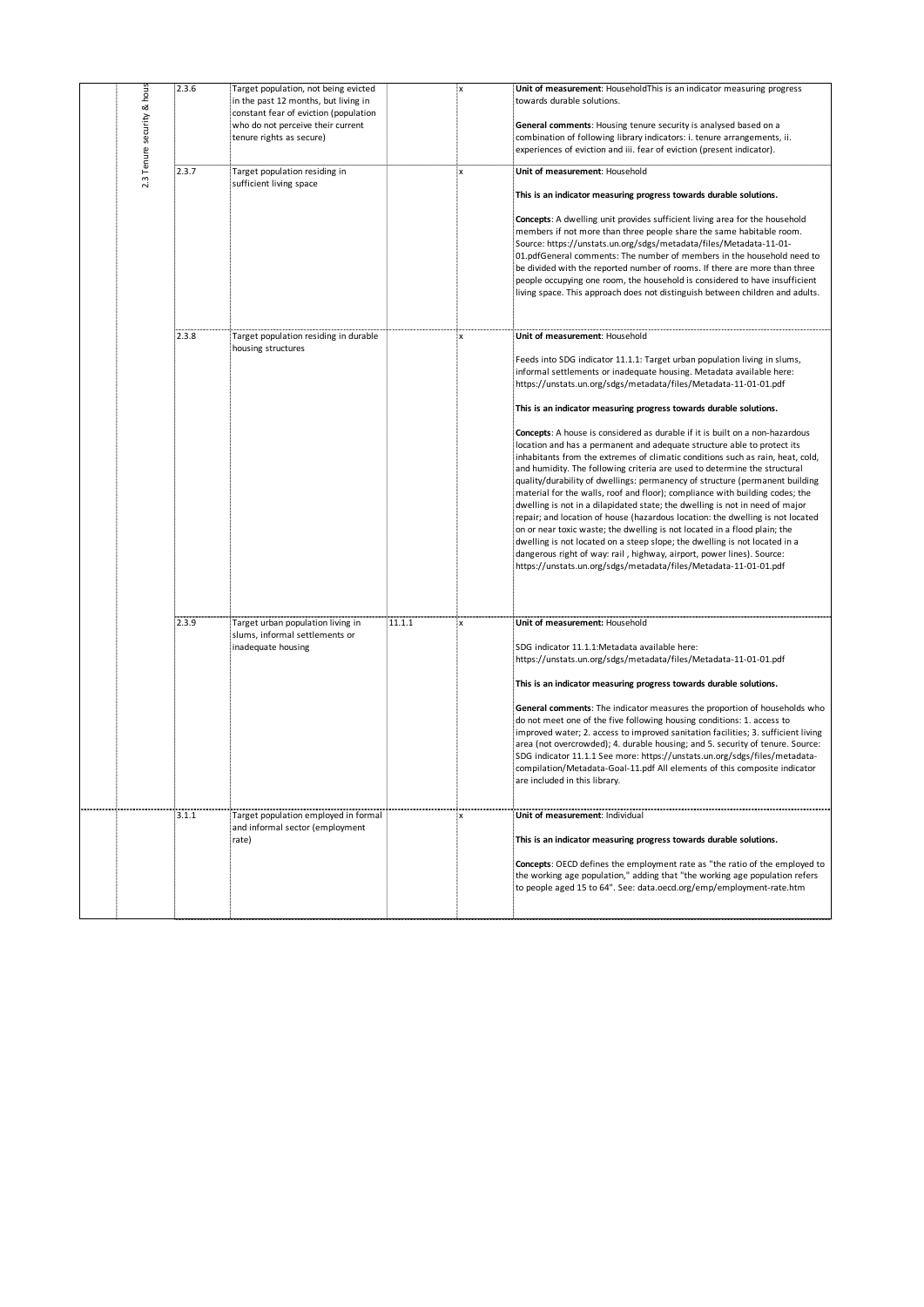| & hous<br>2.3.6<br>Target population, not being evicted<br>$\mathbf x$<br>Unit of measurement: HouseholdThis is an indicator measuring progress<br>in the past 12 months, but living in<br>towards durable solutions.<br>constant fear of eviction (population<br>2.3 Tenure security<br>who do not perceive their current<br>General comments: Housing tenure security is analysed based on a<br>combination of following library indicators: i. tenure arrangements, ii.<br>tenure rights as secure)<br>experiences of eviction and iii. fear of eviction (present indicator).<br>2.3.7<br>Target population residing in<br>Unit of measurement: Household<br>$\pmb{\times}$<br>sufficient living space<br>This is an indicator measuring progress towards durable solutions.<br>Concepts: A dwelling unit provides sufficient living area for the household<br>members if not more than three people share the same habitable room.<br>Source: https://unstats.un.org/sdgs/metadata/files/Metadata-11-01-<br>01.pdfGeneral comments: The number of members in the household need to<br>be divided with the reported number of rooms. If there are more than three<br>people occupying one room, the household is considered to have insufficient<br>living space. This approach does not distinguish between children and adults.<br>2.3.8<br>larget population residing in durable<br>Unit of measurement: Household<br>housing structures<br>Feeds into SDG indicator 11.1.1: Target urban population living in slums,<br>informal settlements or inadequate housing. Metadata available here:<br>https://unstats.un.org/sdgs/metadata/files/Metadata-11-01-01.pdf<br>This is an indicator measuring progress towards durable solutions.<br>Concepts: A house is considered as durable if it is built on a non-hazardous<br>location and has a permanent and adequate structure able to protect its<br>inhabitants from the extremes of climatic conditions such as rain, heat, cold,<br>and humidity. The following criteria are used to determine the structural<br>quality/durability of dwellings: permanency of structure (permanent building<br>material for the walls, roof and floor); compliance with building codes; the<br>dwelling is not in a dilapidated state; the dwelling is not in need of major<br>repair; and location of house (hazardous location: the dwelling is not located<br>on or near toxic waste; the dwelling is not located in a flood plain; the<br>dwelling is not located on a steep slope; the dwelling is not located in a<br>dangerous right of way: rail, highway, airport, power lines). Source:<br>https://unstats.un.org/sdgs/metadata/files/Metadata-11-01-01.pdf<br>2.3.9<br>11.1.1<br>Unit of measurement: Household<br>Target urban population living in<br>$\,$ X<br>slums, informal settlements or<br>inadequate housing<br>SDG indicator 11.1.1:Metadata available here:<br>https://unstats.un.org/sdgs/metadata/files/Metadata-11-01-01.pdf<br>This is an indicator measuring progress towards durable solutions.<br>General comments: The indicator measures the proportion of households who<br>do not meet one of the five following housing conditions: 1. access to<br>improved water; 2. access to improved sanitation facilities; 3. sufficient living<br>area (not overcrowded); 4. durable housing; and 5. security of tenure. Source:<br>SDG indicator 11.1.1 See more: https://unstats.un.org/sdgs/files/metadata-<br>compilation/Metadata-Goal-11.pdf All elements of this composite indicator<br>are included in this library.<br>3.1.1<br>Target population employed in formal<br>Unit of measurement: Individual<br>$\mathsf{x}$<br>and informal sector (employment<br>This is an indicator measuring progress towards durable solutions.<br>rate)<br>Concepts: OECD defines the employment rate as "the ratio of the employed to<br>the working age population," adding that "the working age population refers<br>to people aged 15 to 64". See: data.oecd.org/emp/employment-rate.htm |  |  |  |  |  |
|----------------------------------------------------------------------------------------------------------------------------------------------------------------------------------------------------------------------------------------------------------------------------------------------------------------------------------------------------------------------------------------------------------------------------------------------------------------------------------------------------------------------------------------------------------------------------------------------------------------------------------------------------------------------------------------------------------------------------------------------------------------------------------------------------------------------------------------------------------------------------------------------------------------------------------------------------------------------------------------------------------------------------------------------------------------------------------------------------------------------------------------------------------------------------------------------------------------------------------------------------------------------------------------------------------------------------------------------------------------------------------------------------------------------------------------------------------------------------------------------------------------------------------------------------------------------------------------------------------------------------------------------------------------------------------------------------------------------------------------------------------------------------------------------------------------------------------------------------------------------------------------------------------------------------------------------------------------------------------------------------------------------------------------------------------------------------------------------------------------------------------------------------------------------------------------------------------------------------------------------------------------------------------------------------------------------------------------------------------------------------------------------------------------------------------------------------------------------------------------------------------------------------------------------------------------------------------------------------------------------------------------------------------------------------------------------------------------------------------------------------------------------------------------------------------------------------------------------------------------------------------------------------------------------------------------------------------------------------------------------------------------------------------------------------------------------------------------------------------------------------------------------------------------------------------------------------------------------------------------------------------------------------------------------------------------------------------------------------------------------------------------------------------------------------------------------------------------------------------------------------------------------------------------------------------------------------------------------------------------------------------------------------------------------------------------------------------------------------------------------------------------------------------------------------------------------------------------------------------------------------------------------------------------------------------------------------------------------------------------------------------------------------------------------------------------|--|--|--|--|--|
|                                                                                                                                                                                                                                                                                                                                                                                                                                                                                                                                                                                                                                                                                                                                                                                                                                                                                                                                                                                                                                                                                                                                                                                                                                                                                                                                                                                                                                                                                                                                                                                                                                                                                                                                                                                                                                                                                                                                                                                                                                                                                                                                                                                                                                                                                                                                                                                                                                                                                                                                                                                                                                                                                                                                                                                                                                                                                                                                                                                                                                                                                                                                                                                                                                                                                                                                                                                                                                                                                                                                                                                                                                                                                                                                                                                                                                                                                                                                                                                                                                                                |  |  |  |  |  |
|                                                                                                                                                                                                                                                                                                                                                                                                                                                                                                                                                                                                                                                                                                                                                                                                                                                                                                                                                                                                                                                                                                                                                                                                                                                                                                                                                                                                                                                                                                                                                                                                                                                                                                                                                                                                                                                                                                                                                                                                                                                                                                                                                                                                                                                                                                                                                                                                                                                                                                                                                                                                                                                                                                                                                                                                                                                                                                                                                                                                                                                                                                                                                                                                                                                                                                                                                                                                                                                                                                                                                                                                                                                                                                                                                                                                                                                                                                                                                                                                                                                                |  |  |  |  |  |
|                                                                                                                                                                                                                                                                                                                                                                                                                                                                                                                                                                                                                                                                                                                                                                                                                                                                                                                                                                                                                                                                                                                                                                                                                                                                                                                                                                                                                                                                                                                                                                                                                                                                                                                                                                                                                                                                                                                                                                                                                                                                                                                                                                                                                                                                                                                                                                                                                                                                                                                                                                                                                                                                                                                                                                                                                                                                                                                                                                                                                                                                                                                                                                                                                                                                                                                                                                                                                                                                                                                                                                                                                                                                                                                                                                                                                                                                                                                                                                                                                                                                |  |  |  |  |  |
|                                                                                                                                                                                                                                                                                                                                                                                                                                                                                                                                                                                                                                                                                                                                                                                                                                                                                                                                                                                                                                                                                                                                                                                                                                                                                                                                                                                                                                                                                                                                                                                                                                                                                                                                                                                                                                                                                                                                                                                                                                                                                                                                                                                                                                                                                                                                                                                                                                                                                                                                                                                                                                                                                                                                                                                                                                                                                                                                                                                                                                                                                                                                                                                                                                                                                                                                                                                                                                                                                                                                                                                                                                                                                                                                                                                                                                                                                                                                                                                                                                                                |  |  |  |  |  |
|                                                                                                                                                                                                                                                                                                                                                                                                                                                                                                                                                                                                                                                                                                                                                                                                                                                                                                                                                                                                                                                                                                                                                                                                                                                                                                                                                                                                                                                                                                                                                                                                                                                                                                                                                                                                                                                                                                                                                                                                                                                                                                                                                                                                                                                                                                                                                                                                                                                                                                                                                                                                                                                                                                                                                                                                                                                                                                                                                                                                                                                                                                                                                                                                                                                                                                                                                                                                                                                                                                                                                                                                                                                                                                                                                                                                                                                                                                                                                                                                                                                                |  |  |  |  |  |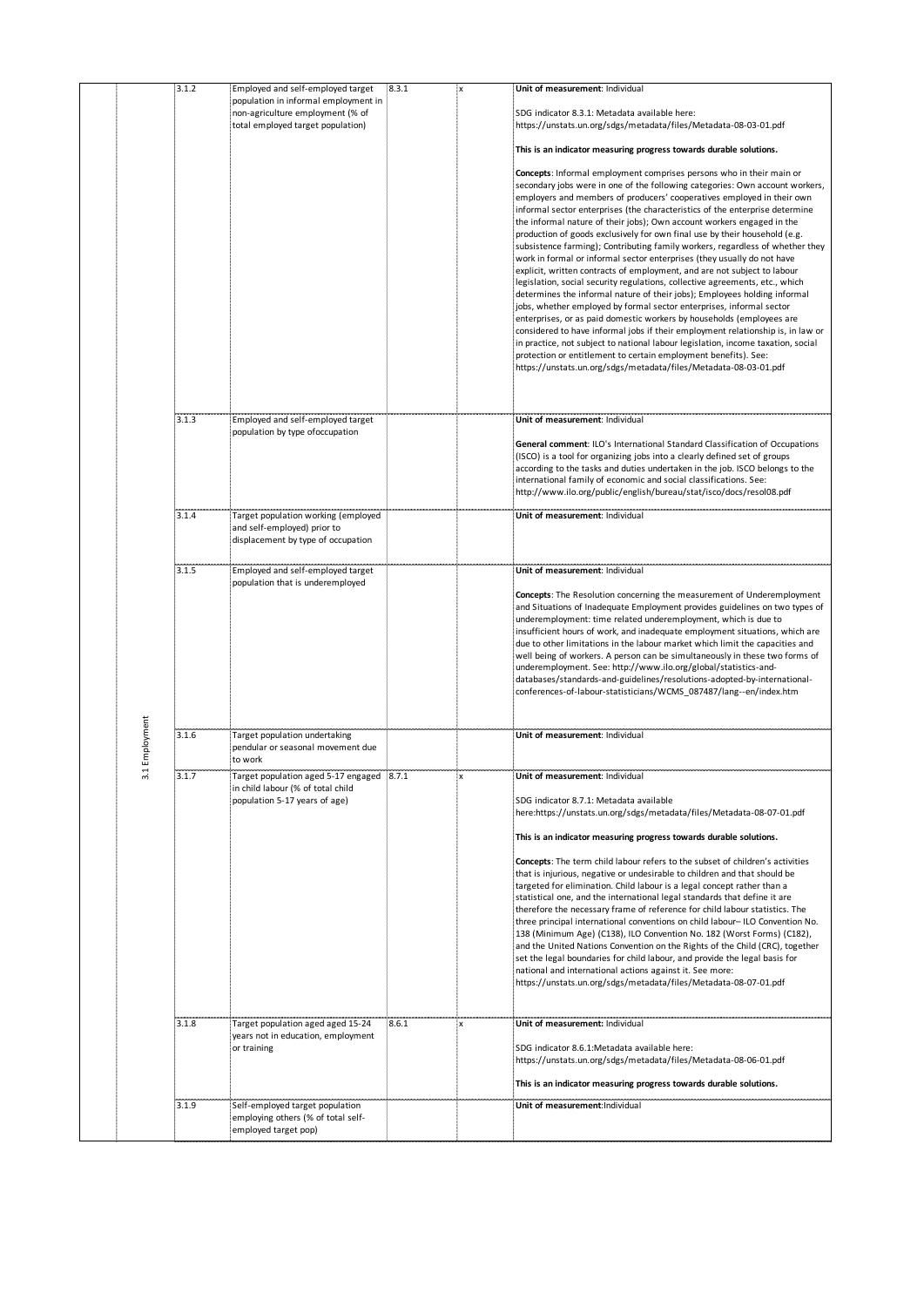|            | 3.1.2 | Employed and self-employed target                                              | 8.3.1 | Unit of measurement: Individual                                                                                                                             |
|------------|-------|--------------------------------------------------------------------------------|-------|-------------------------------------------------------------------------------------------------------------------------------------------------------------|
|            |       | population in informal employment in                                           |       |                                                                                                                                                             |
|            |       | non-agriculture employment (% of<br>total employed target population)          |       | SDG indicator 8.3.1: Metadata available here:<br>https://unstats.un.org/sdgs/metadata/files/Metadata-08-03-01.pdf                                           |
|            |       |                                                                                |       | This is an indicator measuring progress towards durable solutions.                                                                                          |
|            |       |                                                                                |       | Concepts: Informal employment comprises persons who in their main or                                                                                        |
|            |       |                                                                                |       | secondary jobs were in one of the following categories: Own account workers,                                                                                |
|            |       |                                                                                |       | employers and members of producers' cooperatives employed in their own<br>informal sector enterprises (the characteristics of the enterprise determine      |
|            |       |                                                                                |       | the informal nature of their jobs); Own account workers engaged in the                                                                                      |
|            |       |                                                                                |       | production of goods exclusively for own final use by their household (e.g.<br>subsistence farming); Contributing family workers, regardless of whether they |
|            |       |                                                                                |       | work in formal or informal sector enterprises (they usually do not have                                                                                     |
|            |       |                                                                                |       | explicit, written contracts of employment, and are not subject to labour<br>legislation, social security regulations, collective agreements, etc., which    |
|            |       |                                                                                |       | determines the informal nature of their jobs); Employees holding informal                                                                                   |
|            |       |                                                                                |       | jobs, whether employed by formal sector enterprises, informal sector                                                                                        |
|            |       |                                                                                |       | enterprises, or as paid domestic workers by households (employees are<br>considered to have informal jobs if their employment relationship is, in law or    |
|            |       |                                                                                |       | in practice, not subject to national labour legislation, income taxation, social                                                                            |
|            |       |                                                                                |       | protection or entitlement to certain employment benefits). See:<br>https://unstats.un.org/sdgs/metadata/files/Metadata-08-03-01.pdf                         |
|            |       |                                                                                |       |                                                                                                                                                             |
|            | 3.1.3 | Employed and self-employed target                                              |       | Unit of measurement: Individual                                                                                                                             |
|            |       | population by type ofoccupation                                                |       | General comment: ILO's International Standard Classification of Occupations                                                                                 |
|            |       |                                                                                |       | (ISCO) is a tool for organizing jobs into a clearly defined set of groups<br>according to the tasks and duties undertaken in the job. ISCO belongs to the   |
|            |       |                                                                                |       | international family of economic and social classifications. See:                                                                                           |
|            |       |                                                                                |       | http://www.ilo.org/public/english/bureau/stat/isco/docs/resol08.pdf                                                                                         |
|            | 3.1.4 | Target population working (employed                                            |       | Unit of measurement: Individual                                                                                                                             |
|            |       | and self-employed) prior to<br>displacement by type of occupation              |       |                                                                                                                                                             |
|            |       |                                                                                |       |                                                                                                                                                             |
|            | 3.1.5 | Employed and self-employed target<br>population that is underemployed          |       | Unit of measurement: Individual                                                                                                                             |
|            |       |                                                                                |       | Concepts: The Resolution concerning the measurement of Underemployment                                                                                      |
|            |       |                                                                                |       | and Situations of Inadequate Employment provides guidelines on two types of<br>underemployment: time related underemployment, which is due to               |
|            |       |                                                                                |       | insufficient hours of work, and inadequate employment situations, which are                                                                                 |
|            |       |                                                                                |       | due to other limitations in the labour market which limit the capacities and<br>well being of workers. A person can be simultaneously in these two forms of |
|            |       |                                                                                |       | underemployment. See: http://www.ilo.org/global/statistics-and-<br>databases/standards-and-guidelines/resolutions-adopted-by-international-                 |
|            |       |                                                                                |       | conferences-of-labour-statisticians/WCMS_087487/lang--en/index.htm                                                                                          |
|            |       |                                                                                |       |                                                                                                                                                             |
|            | 3.1.6 | Target population undertaking                                                  |       | Unit of measurement: Individual                                                                                                                             |
| Employment |       | pendular or seasonal movement due<br>to work                                   |       |                                                                                                                                                             |
| E          | 3.1.7 | Target population aged 5-17 engaged 8.7.1<br>in child labour (% of total child |       | Unit of measurement: Individual                                                                                                                             |
|            |       | population 5-17 years of age)                                                  |       | SDG indicator 8.7.1: Metadata available                                                                                                                     |
|            |       |                                                                                |       | here:https://unstats.un.org/sdgs/metadata/files/Metadata-08-07-01.pdf                                                                                       |
|            |       |                                                                                |       | This is an indicator measuring progress towards durable solutions.                                                                                          |
|            |       |                                                                                |       | Concepts: The term child labour refers to the subset of children's activities<br>that is injurious, negative or undesirable to children and that should be  |
|            |       |                                                                                |       | targeted for elimination. Child labour is a legal concept rather than a                                                                                     |
|            |       |                                                                                |       | statistical one, and the international legal standards that define it are<br>therefore the necessary frame of reference for child labour statistics. The    |
|            |       |                                                                                |       | three principal international conventions on child labour- ILO Convention No.                                                                               |
|            |       |                                                                                |       | 138 (Minimum Age) (C138), ILO Convention No. 182 (Worst Forms) (C182),<br>and the United Nations Convention on the Rights of the Child (CRC), together      |
|            |       |                                                                                |       | set the legal boundaries for child labour, and provide the legal basis for                                                                                  |
|            |       |                                                                                |       | national and international actions against it. See more:<br>https://unstats.un.org/sdgs/metadata/files/Metadata-08-07-01.pdf                                |
|            |       |                                                                                |       |                                                                                                                                                             |
|            | 3.1.8 | Target population aged aged 15-24                                              | 8.6.1 | Unit of measurement: Individual                                                                                                                             |
|            |       | years not in education, employment<br>or training                              |       | SDG indicator 8.6.1:Metadata available here:                                                                                                                |
|            |       |                                                                                |       | https://unstats.un.org/sdgs/metadata/files/Metadata-08-06-01.pdf                                                                                            |
|            |       |                                                                                |       | This is an indicator measuring progress towards durable solutions.                                                                                          |
|            | 3.1.9 | Self-employed target population                                                |       | Unit of measurement: Individual                                                                                                                             |
|            |       | employing others (% of total self-<br>employed target pop)                     |       |                                                                                                                                                             |
|            |       |                                                                                |       |                                                                                                                                                             |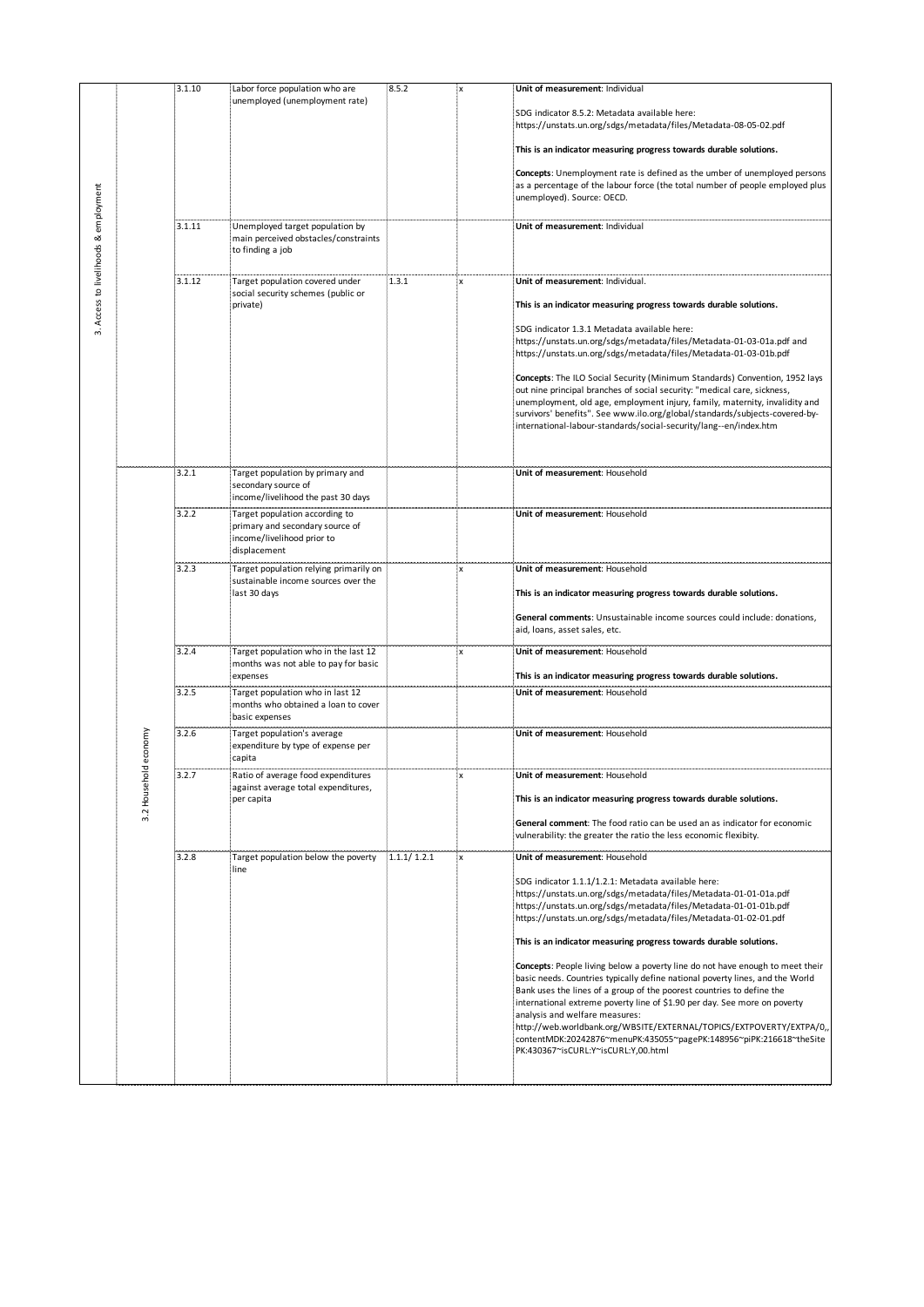|                                       |         | 3.1.10 | Labor force population who are                                                              | 8.5.2 | X                         | Unit of measurement: Individual                                                                                                                                                                                                                                                                                                                                                                                                                                                                                                              |
|---------------------------------------|---------|--------|---------------------------------------------------------------------------------------------|-------|---------------------------|----------------------------------------------------------------------------------------------------------------------------------------------------------------------------------------------------------------------------------------------------------------------------------------------------------------------------------------------------------------------------------------------------------------------------------------------------------------------------------------------------------------------------------------------|
|                                       |         |        | unemployed (unemployment rate)                                                              |       |                           | SDG indicator 8.5.2: Metadata available here:                                                                                                                                                                                                                                                                                                                                                                                                                                                                                                |
|                                       |         |        |                                                                                             |       |                           | https://unstats.un.org/sdgs/metadata/files/Metadata-08-05-02.pdf<br>This is an indicator measuring progress towards durable solutions.                                                                                                                                                                                                                                                                                                                                                                                                       |
| 3. Access to livelihoods & employment |         |        |                                                                                             |       |                           |                                                                                                                                                                                                                                                                                                                                                                                                                                                                                                                                              |
|                                       |         |        |                                                                                             |       |                           | Concepts: Unemployment rate is defined as the umber of unemployed persons<br>as a percentage of the labour force (the total number of people employed plus<br>unemployed). Source: OECD.                                                                                                                                                                                                                                                                                                                                                     |
|                                       |         | 3.1.11 | Unemployed target population by<br>main perceived obstacles/constraints<br>to finding a job |       |                           | Unit of measurement: Individual                                                                                                                                                                                                                                                                                                                                                                                                                                                                                                              |
|                                       |         |        |                                                                                             |       |                           |                                                                                                                                                                                                                                                                                                                                                                                                                                                                                                                                              |
|                                       |         | 3.1.12 | Target population covered under                                                             | 1.3.1 | $\pmb{\times}$            | Unit of measurement: Individual.                                                                                                                                                                                                                                                                                                                                                                                                                                                                                                             |
|                                       |         |        | social security schemes (public or<br>private)                                              |       |                           | This is an indicator measuring progress towards durable solutions.                                                                                                                                                                                                                                                                                                                                                                                                                                                                           |
|                                       |         |        |                                                                                             |       |                           | SDG indicator 1.3.1 Metadata available here:<br>https://unstats.un.org/sdgs/metadata/files/Metadata-01-03-01a.pdf and<br>https://unstats.un.org/sdgs/metadata/files/Metadata-01-03-01b.pdf<br>Concepts: The ILO Social Security (Minimum Standards) Convention, 1952 lays                                                                                                                                                                                                                                                                    |
|                                       |         |        |                                                                                             |       |                           | out nine principal branches of social security: "medical care, sickness,<br>unemployment, old age, employment injury, family, maternity, invalidity and<br>survivors' benefits". See www.ilo.org/global/standards/subjects-covered-by-<br>international-labour-standards/social-security/lang--en/index.htm                                                                                                                                                                                                                                  |
|                                       |         | 3.2.1  | Target population by primary and                                                            |       |                           | Unit of measurement: Household                                                                                                                                                                                                                                                                                                                                                                                                                                                                                                               |
|                                       |         |        | secondary source of<br>income/livelihood the past 30 days                                   |       |                           |                                                                                                                                                                                                                                                                                                                                                                                                                                                                                                                                              |
|                                       |         | 3.2.2  | Target population according to                                                              |       |                           | Unit of measurement: Household                                                                                                                                                                                                                                                                                                                                                                                                                                                                                                               |
|                                       |         |        | primary and secondary source of<br>income/livelihood prior to<br>displacement               |       |                           |                                                                                                                                                                                                                                                                                                                                                                                                                                                                                                                                              |
|                                       |         | 3.2.3  | Target population relying primarily on                                                      |       |                           | Unit of measurement: Household                                                                                                                                                                                                                                                                                                                                                                                                                                                                                                               |
|                                       |         |        | sustainable income sources over the<br>last 30 days                                         |       |                           | This is an indicator measuring progress towards durable solutions.                                                                                                                                                                                                                                                                                                                                                                                                                                                                           |
|                                       |         |        |                                                                                             |       |                           | General comments: Unsustainable income sources could include: donations,<br>aid, loans, asset sales, etc.                                                                                                                                                                                                                                                                                                                                                                                                                                    |
|                                       |         | 3.2.4  | Target population who in the last 12                                                        |       | <b>x</b>                  | Unit of measurement: Household                                                                                                                                                                                                                                                                                                                                                                                                                                                                                                               |
|                                       |         |        | months was not able to pay for basic<br>expenses                                            |       |                           | This is an indicator measuring progress towards durable solutions.                                                                                                                                                                                                                                                                                                                                                                                                                                                                           |
|                                       |         | 3.2.5  | Target population who in last 12                                                            |       |                           | Unit of measurement: Household                                                                                                                                                                                                                                                                                                                                                                                                                                                                                                               |
|                                       |         |        | months who obtained a loan to cover<br>basic expenses                                       |       |                           |                                                                                                                                                                                                                                                                                                                                                                                                                                                                                                                                              |
|                                       | economy | 3.2.6  | Target population's average<br>expenditure by type of expense per                           |       |                           | Unit of measurement: Household                                                                                                                                                                                                                                                                                                                                                                                                                                                                                                               |
|                                       | 픵       |        | capita<br>atio of average food expenditures                                                 |       |                           | Unit of measurement: Household                                                                                                                                                                                                                                                                                                                                                                                                                                                                                                               |
|                                       | Househ  |        | against average total expenditures,<br>per capita                                           |       |                           | This is an indicator measuring progress towards durable solutions.                                                                                                                                                                                                                                                                                                                                                                                                                                                                           |
|                                       | 3.2     |        |                                                                                             |       |                           | General comment: The food ratio can be used an as indicator for economic<br>vulnerability: the greater the ratio the less economic flexibity.                                                                                                                                                                                                                                                                                                                                                                                                |
|                                       |         | 3.2.8  | Target population below the poverty 1.1.1/1.2.1                                             |       | $\boldsymbol{\mathsf{x}}$ | Unit of measurement: Household                                                                                                                                                                                                                                                                                                                                                                                                                                                                                                               |
|                                       |         |        | line                                                                                        |       |                           | SDG indicator 1.1.1/1.2.1: Metadata available here:<br>https://unstats.un.org/sdgs/metadata/files/Metadata-01-01-01a.pdf<br>https://unstats.un.org/sdgs/metadata/files/Metadata-01-01-01b.pdf<br>https://unstats.un.org/sdgs/metadata/files/Metadata-01-02-01.pdf                                                                                                                                                                                                                                                                            |
|                                       |         |        |                                                                                             |       |                           | This is an indicator measuring progress towards durable solutions.                                                                                                                                                                                                                                                                                                                                                                                                                                                                           |
|                                       |         |        |                                                                                             |       |                           | Concepts: People living below a poverty line do not have enough to meet their<br>basic needs. Countries typically define national poverty lines, and the World<br>Bank uses the lines of a group of the poorest countries to define the<br>international extreme poverty line of \$1.90 per day. See more on poverty<br>analysis and welfare measures:<br>http://web.worldbank.org/WBSITE/EXTERNAL/TOPICS/EXTPOVERTY/EXTPA/0,,<br>contentMDK:20242876~menuPK:435055~pagePK:148956~piPK:216618~theSite<br>PK:430367~isCURL:Y~isCURL:Y,00.html |
|                                       |         |        |                                                                                             |       |                           |                                                                                                                                                                                                                                                                                                                                                                                                                                                                                                                                              |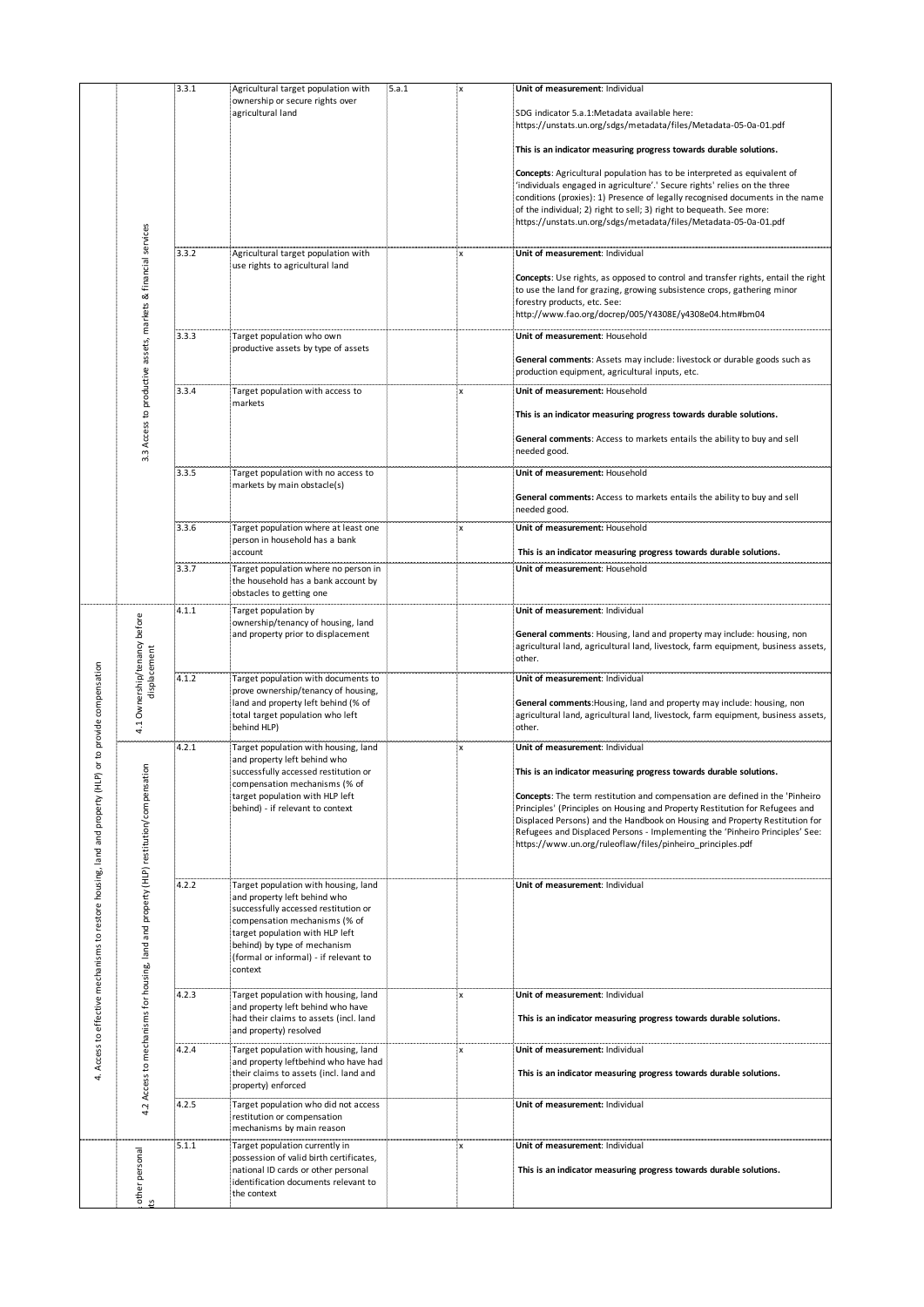|                                                                              |                                                                                     | 3.3.1 | Agricultural target population with<br>ownership or secure rights over       | 5.a.1 | $\mathsf{x}$ | Unit of measurement: Individual                                                                                                                             |
|------------------------------------------------------------------------------|-------------------------------------------------------------------------------------|-------|------------------------------------------------------------------------------|-------|--------------|-------------------------------------------------------------------------------------------------------------------------------------------------------------|
|                                                                              |                                                                                     |       | agricultural land                                                            |       |              | SDG indicator 5.a.1:Metadata available here:                                                                                                                |
|                                                                              |                                                                                     |       |                                                                              |       |              | https://unstats.un.org/sdgs/metadata/files/Metadata-05-0a-01.pdf                                                                                            |
|                                                                              |                                                                                     |       |                                                                              |       |              | This is an indicator measuring progress towards durable solutions.                                                                                          |
|                                                                              |                                                                                     |       |                                                                              |       |              | Concepts: Agricultural population has to be interpreted as equivalent of<br>'individuals engaged in agriculture'.' Secure rights' relies on the three       |
|                                                                              |                                                                                     |       |                                                                              |       |              | conditions (proxies): 1) Presence of legally recognised documents in the name<br>of the individual; 2) right to sell; 3) right to bequeath. See more:       |
|                                                                              |                                                                                     |       |                                                                              |       |              | https://unstats.un.org/sdgs/metadata/files/Metadata-05-0a-01.pdf                                                                                            |
|                                                                              |                                                                                     | 3.3.2 | Agricultural target population with                                          |       |              | Unit of measurement: Individual                                                                                                                             |
|                                                                              |                                                                                     |       | use rights to agricultural land                                              |       |              | Concepts: Use rights, as opposed to control and transfer rights, entail the right                                                                           |
|                                                                              |                                                                                     |       |                                                                              |       |              | to use the land for grazing, growing subsistence crops, gathering minor<br>forestry products, etc. See:                                                     |
|                                                                              |                                                                                     |       |                                                                              |       |              | http://www.fao.org/docrep/005/Y4308E/y4308e04.htm#bm04                                                                                                      |
|                                                                              | 3.3 Access to productive assets, markets & financial services                       | 3.3.3 | Target population who own<br>productive assets by type of assets             |       |              | Unit of measurement: Household                                                                                                                              |
|                                                                              |                                                                                     |       |                                                                              |       |              | General comments: Assets may include: livestock or durable goods such as<br>production equipment, agricultural inputs, etc.                                 |
|                                                                              |                                                                                     | 3.3.4 | Target population with access to<br>markets                                  |       | x            | Unit of measurement: Household                                                                                                                              |
|                                                                              |                                                                                     |       |                                                                              |       |              | This is an indicator measuring progress towards durable solutions.                                                                                          |
|                                                                              |                                                                                     |       |                                                                              |       |              | General comments: Access to markets entails the ability to buy and sell<br>needed good.                                                                     |
|                                                                              |                                                                                     | 3.3.5 | Target population with no access to                                          |       |              | Unit of measurement: Household                                                                                                                              |
|                                                                              |                                                                                     |       | markets by main obstacle(s)                                                  |       |              | General comments: Access to markets entails the ability to buy and sell                                                                                     |
|                                                                              |                                                                                     |       |                                                                              |       |              | needed good.                                                                                                                                                |
|                                                                              |                                                                                     | 3.3.6 | Target population where at least one<br>person in household has a bank       |       | x            | Unit of measurement: Household                                                                                                                              |
|                                                                              |                                                                                     | 3.3.7 | account<br>Target population where no person in                              |       |              | This is an indicator measuring progress towards durable solutions.<br>Unit of measurement: Household                                                        |
|                                                                              |                                                                                     |       | the household has a bank account by                                          |       |              |                                                                                                                                                             |
|                                                                              |                                                                                     | 4.1.1 | obstacles to getting one<br>Target population by                             |       |              | Unit of measurement: Individual                                                                                                                             |
|                                                                              | Ownership/tenancy before                                                            |       | ownership/tenancy of housing, land<br>and property prior to displacement     |       |              | General comments: Housing, land and property may include: housing, non                                                                                      |
|                                                                              |                                                                                     |       |                                                                              |       |              | agricultural land, agricultural land, livestock, farm equipment, business assets,<br>other.                                                                 |
|                                                                              | displacement                                                                        | 4.1.2 | Target population with documents to                                          |       |              | Unit of measurement: Individual                                                                                                                             |
|                                                                              |                                                                                     |       | prove ownership/tenancy of housing,<br>land and property left behind (% of   |       |              | General comments: Housing, land and property may include: housing, non                                                                                      |
|                                                                              | 4.1                                                                                 |       | total target population who left<br>behind HLP)                              |       |              | agricultural land, agricultural land, livestock, farm equipment, business assets,<br>other.                                                                 |
| to provide compensation<br>৯                                                 |                                                                                     | 4.2.1 | Target population with housing, land                                         |       |              | Unit of measurement: Individual                                                                                                                             |
|                                                                              | δ                                                                                   |       | and property left behind who<br>successfully accessed restitution or         |       |              | This is an indicator measuring progress towards durable solutions.                                                                                          |
|                                                                              |                                                                                     |       | compensation mechanisms (% of<br>target population with HLP left             |       |              | Concepts: The term restitution and compensation are defined in the 'Pinheiro                                                                                |
|                                                                              |                                                                                     |       | behind) - if relevant to context                                             |       |              | Principles' (Principles on Housing and Property Restitution for Refugees and<br>Displaced Persons) and the Handbook on Housing and Property Restitution for |
|                                                                              |                                                                                     |       |                                                                              |       |              | Refugees and Displaced Persons - Implementing the 'Pinheiro Principles' See:<br>https://www.un.org/ruleoflaw/files/pinheiro principles.pdf                  |
| 4. Access to effective mechanisms to restore housing, land and property (HLP | 4.2 Access to mechanisms for housing, land and property (HLP) restitution/compensat |       |                                                                              |       |              |                                                                                                                                                             |
|                                                                              |                                                                                     | 4.2.2 | Target population with housing, land<br>and property left behind who         |       |              | Unit of measurement: Individual                                                                                                                             |
|                                                                              |                                                                                     |       | successfully accessed restitution or<br>compensation mechanisms (% of        |       |              |                                                                                                                                                             |
|                                                                              |                                                                                     |       | target population with HLP left<br>behind) by type of mechanism              |       |              |                                                                                                                                                             |
|                                                                              |                                                                                     |       | (formal or informal) - if relevant to<br>context                             |       |              |                                                                                                                                                             |
|                                                                              |                                                                                     | 4.2.3 | Target population with housing, land                                         |       | x            | Unit of measurement: Individual                                                                                                                             |
|                                                                              |                                                                                     |       | and property left behind who have<br>had their claims to assets (incl. land  |       |              | This is an indicator measuring progress towards durable solutions.                                                                                          |
|                                                                              |                                                                                     |       | and property) resolved                                                       |       |              |                                                                                                                                                             |
|                                                                              |                                                                                     | 4.2.4 | Target population with housing, land<br>and property leftbehind who have had |       | X            | Unit of measurement: Individual                                                                                                                             |
|                                                                              |                                                                                     |       | their claims to assets (incl. land and<br>property) enforced                 |       |              | This is an indicator measuring progress towards durable solutions.                                                                                          |
|                                                                              |                                                                                     | 4.2.5 | Target population who did not access                                         |       |              | Unit of measurement: Individual                                                                                                                             |
|                                                                              |                                                                                     |       | restitution or compensation<br>mechanisms by main reason                     |       |              |                                                                                                                                                             |
|                                                                              |                                                                                     | 5.1.1 | Target population currently in<br>possession of valid birth certificates,    |       | X            | Unit of measurement: Individual                                                                                                                             |
|                                                                              |                                                                                     |       | national ID cards or other personal<br>identification documents relevant to  |       |              | This is an indicator measuring progress towards durable solutions.                                                                                          |
|                                                                              | 5                                                                                   |       | the context                                                                  |       |              |                                                                                                                                                             |
|                                                                              | other personal                                                                      |       |                                                                              |       |              |                                                                                                                                                             |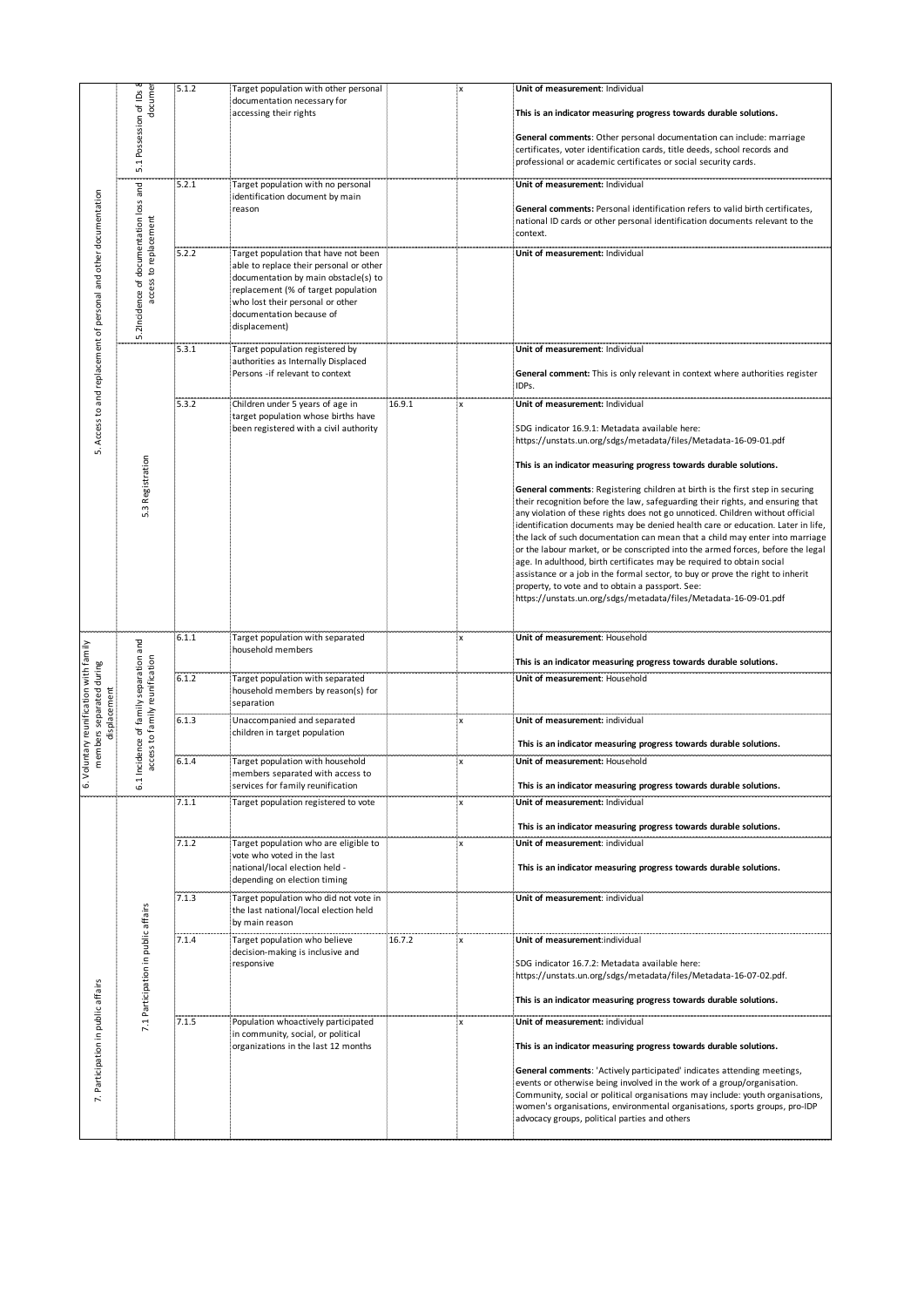| 5. Access to and replacement of personal and other documentation | docume<br>Possession of IDs<br>5.1                        | 5.1.2          | Target population with other personal<br>documentation necessary for<br>accessing their rights                                                                                                                                                  |        | X                               | Unit of measurement: Individual<br>This is an indicator measuring progress towards durable solutions.<br>General comments: Other personal documentation can include: marriage<br>certificates, voter identification cards, title deeds, school records and<br>professional or academic certificates or social security cards.                                                                                                                                                                                                                                                                                                                                                                                                                                                                                                                                                                                                                                                                                                     |
|------------------------------------------------------------------|-----------------------------------------------------------|----------------|-------------------------------------------------------------------------------------------------------------------------------------------------------------------------------------------------------------------------------------------------|--------|---------------------------------|-----------------------------------------------------------------------------------------------------------------------------------------------------------------------------------------------------------------------------------------------------------------------------------------------------------------------------------------------------------------------------------------------------------------------------------------------------------------------------------------------------------------------------------------------------------------------------------------------------------------------------------------------------------------------------------------------------------------------------------------------------------------------------------------------------------------------------------------------------------------------------------------------------------------------------------------------------------------------------------------------------------------------------------|
|                                                                  | loss and                                                  | 5.2.1          | Target population with no personal<br>identification document by main<br>reason                                                                                                                                                                 |        |                                 | Unit of measurement: Individual<br>General comments: Personal identification refers to valid birth certificates,<br>national ID cards or other personal identification documents relevant to the<br>context.                                                                                                                                                                                                                                                                                                                                                                                                                                                                                                                                                                                                                                                                                                                                                                                                                      |
|                                                                  | access to replacement<br>documentation<br>5.2Incidence of | 5.2.2          | Target population that have not been<br>able to replace their personal or other<br>documentation by main obstacle(s) to<br>replacement (% of target population<br>who lost their personal or other<br>documentation because of<br>displacement) |        |                                 | Unit of measurement: Individual                                                                                                                                                                                                                                                                                                                                                                                                                                                                                                                                                                                                                                                                                                                                                                                                                                                                                                                                                                                                   |
|                                                                  |                                                           | 5.3.1          | Target population registered by<br>authorities as Internally Displaced<br>Persons -if relevant to context                                                                                                                                       |        |                                 | Unit of measurement: Individual<br>General comment: This is only relevant in context where authorities register<br>IDPs.                                                                                                                                                                                                                                                                                                                                                                                                                                                                                                                                                                                                                                                                                                                                                                                                                                                                                                          |
|                                                                  | Registration<br>w                                         | 5.3.2          | Children under 5 years of age in<br>target population whose births have<br>been registered with a civil authority                                                                                                                               | 16.9.1 | 'X                              | Unit of measurement: Individual<br>SDG indicator 16.9.1: Metadata available here:<br>https://unstats.un.org/sdgs/metadata/files/Metadata-16-09-01.pdf<br>This is an indicator measuring progress towards durable solutions.<br><b>General comments:</b> Registering children at birth is the first step in securing<br>their recognition before the law, safeguarding their rights, and ensuring that<br>any violation of these rights does not go unnoticed. Children without official<br>identification documents may be denied health care or education. Later in life,<br>the lack of such documentation can mean that a child may enter into marriage<br>or the labour market, or be conscripted into the armed forces, before the legal<br>age. In adulthood, birth certificates may be required to obtain social<br>assistance or a job in the formal sector, to buy or prove the right to inherit<br>property, to vote and to obtain a passport. See:<br>https://unstats.un.org/sdgs/metadata/files/Metadata-16-09-01.pdf |
| parated during                                                   | mily separation and<br>ily reunification                  | 6.1.1<br>6.1.2 | Target population with separated<br>household members<br>Target population with separated<br>household members by reason(s) for                                                                                                                 |        | x                               | Unit of measurement: Household<br>This is an indicator measuring progress towards durable solutions.<br>Unit of measurement: Household                                                                                                                                                                                                                                                                                                                                                                                                                                                                                                                                                                                                                                                                                                                                                                                                                                                                                            |
| 6. Voluntary reunification with family<br>members sep<br>display | Incidence of fa-<br>access to fam                         | 6.1.3          | separation<br>Unaccompanied and separated<br>children in target population                                                                                                                                                                      |        | X                               | Unit of measurement: individual<br>This is an indicator measuring progress towards durable solutions.                                                                                                                                                                                                                                                                                                                                                                                                                                                                                                                                                                                                                                                                                                                                                                                                                                                                                                                             |
|                                                                  | 6.1                                                       | 6.1.4<br>7.1.1 | Target population with household<br>members separated with access to<br>services for family reunification<br>Target population registered to vote                                                                                               |        | $\boldsymbol{\mathsf{x}}$<br>۰X | Unit of measurement: Household<br>This is an indicator measuring progress towards durable solutions.<br>Unit of measurement: Individual                                                                                                                                                                                                                                                                                                                                                                                                                                                                                                                                                                                                                                                                                                                                                                                                                                                                                           |
|                                                                  |                                                           | 7.1.2          | Target population who are eligible to<br>vote who voted in the last<br>national/local election held -<br>depending on election timing                                                                                                           |        | <b>X</b>                        | This is an indicator measuring progress towards durable solutions.<br>Unit of measurement: individual<br>This is an indicator measuring progress towards durable solutions.                                                                                                                                                                                                                                                                                                                                                                                                                                                                                                                                                                                                                                                                                                                                                                                                                                                       |
|                                                                  |                                                           | 7.1.3          | Target population who did not vote in<br>the last national/local election held<br>by main reason                                                                                                                                                |        |                                 | Unit of measurement: individual                                                                                                                                                                                                                                                                                                                                                                                                                                                                                                                                                                                                                                                                                                                                                                                                                                                                                                                                                                                                   |
|                                                                  | 7.1 Participation in public affairs                       | 7.1.4          | Target population who believe<br>decision-making is inclusive and<br>responsive                                                                                                                                                                 | 16.7.2 | łХ.                             | Unit of measurement:individual<br>SDG indicator 16.7.2: Metadata available here:<br>https://unstats.un.org/sdgs/metadata/files/Metadata-16-07-02.pdf.<br>This is an indicator measuring progress towards durable solutions.                                                                                                                                                                                                                                                                                                                                                                                                                                                                                                                                                                                                                                                                                                                                                                                                       |
| Participation in public affairs<br><sup>1</sup>                  |                                                           | 7.1.5          | Population whoactively participated<br>in community, social, or political<br>organizations in the last 12 months                                                                                                                                |        | ÷Х                              | Unit of measurement: individual<br>This is an indicator measuring progress towards durable solutions.<br>General comments: 'Actively participated' indicates attending meetings,<br>events or otherwise being involved in the work of a group/organisation.<br>Community, social or political organisations may include: youth organisations,<br>women's organisations, environmental organisations, sports groups, pro-IDP<br>advocacy groups, political parties and others                                                                                                                                                                                                                                                                                                                                                                                                                                                                                                                                                      |